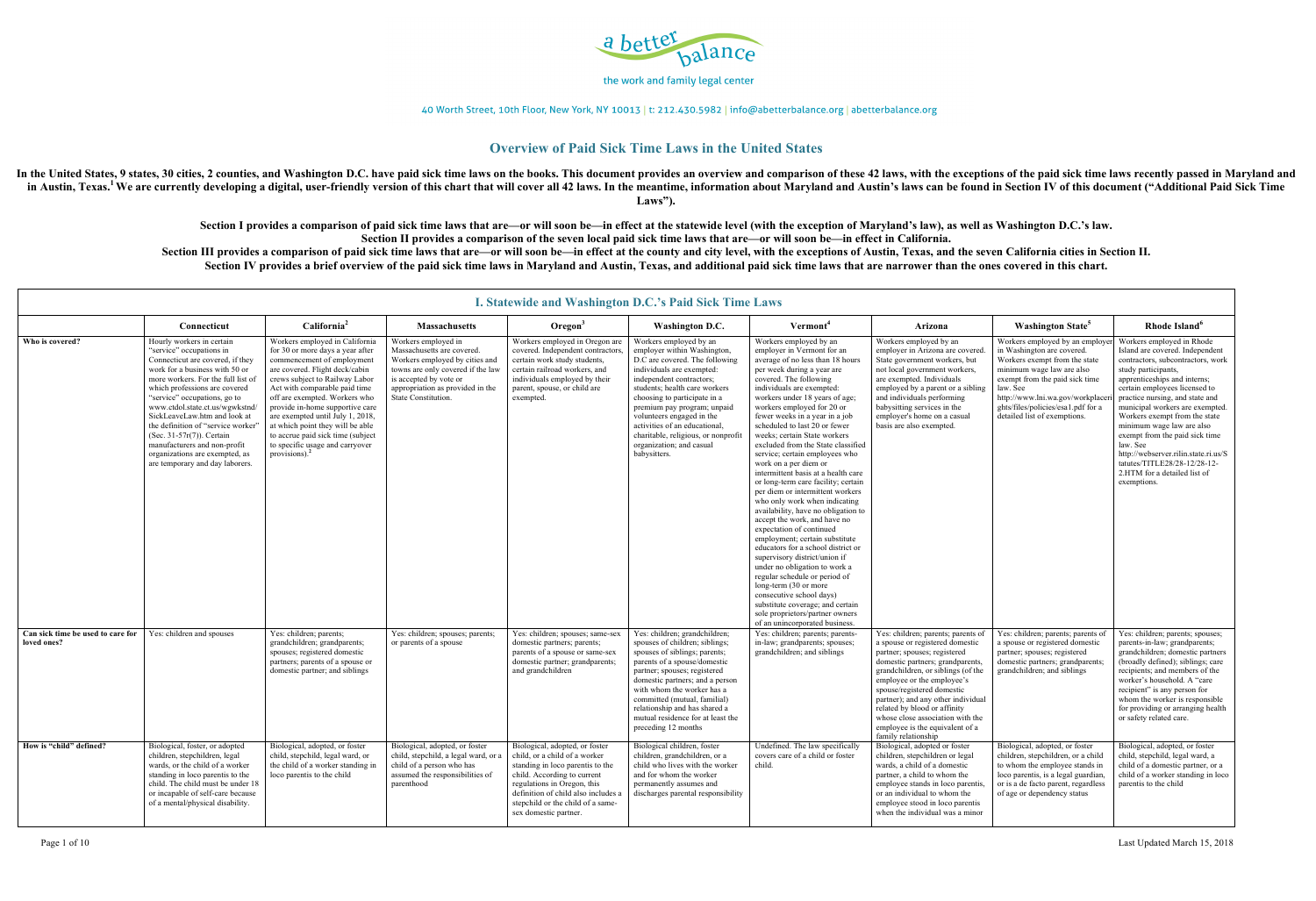

40 Worth Street, 10th Floor, New York, NY 10013 | t: 212.430.5982 | info@abetterbalance.org | abetterbalance.org

### **Overview of Paid Sick Time Laws in the United States**

In the United States, 9 states, 30 cities, 2 counties, and Washington D.C. have paid sick time laws on the books. This document provides an overview and comparison of these 42 laws, with the exceptions of the paid sick tim in Austin, Texas.<sup>1</sup>We are currently developing a digital, user-friendly version of this chart that will cover all 42 laws. In the meantime, information about Maryland and Austin's laws can be found in Section IV of this d **Laws").**

> **Section I provides a comparison of paid sick time laws that are—or will soon be—in effect at the statewide level (with the exception of Maryland's law), as well as Washington D.C.'s law. Section II provides a comparison of the seven local paid sick time laws that are—or will soon be—in effect in California.**  Section III provides a comparison of paid sick time laws that are—or will soon be—in effect at the county and city level, with the exceptions of Austin, Texas, and the seven California cities in Section II. **Section IV provides a brief overview of the paid sick time laws in Maryland and Austin, Texas, and additional paid sick time laws that are narrower than the ones covered in this chart.**

|                                                  | <b>I. Statewide and Washington D.C.'s Paid Sick Time Laws</b>                                                                                                                                                                                                                                                                                                                                                                                                                 |                                                                                                                                                                                                                                                                                                                                                                                                                                               |                                                                                                                                                                                                               |                                                                                                                                                                                                                                                                        |                                                                                                                                                                                                                                                                                                                                                                                                   |                                                                                                                                                                                                                                                                                                                                                                                                                                                                                                                                                                                                                                                                                                                                                                                                                                                                                                                                                                                                                                                  |                                                                                                                                                                                                                                                                                                                                                                                                                |                                                                                                                                                                                                                                                                                   |                                                                                                                                                                                                                                                                                                                                                                                                                                                                                                    |  |
|--------------------------------------------------|-------------------------------------------------------------------------------------------------------------------------------------------------------------------------------------------------------------------------------------------------------------------------------------------------------------------------------------------------------------------------------------------------------------------------------------------------------------------------------|-----------------------------------------------------------------------------------------------------------------------------------------------------------------------------------------------------------------------------------------------------------------------------------------------------------------------------------------------------------------------------------------------------------------------------------------------|---------------------------------------------------------------------------------------------------------------------------------------------------------------------------------------------------------------|------------------------------------------------------------------------------------------------------------------------------------------------------------------------------------------------------------------------------------------------------------------------|---------------------------------------------------------------------------------------------------------------------------------------------------------------------------------------------------------------------------------------------------------------------------------------------------------------------------------------------------------------------------------------------------|--------------------------------------------------------------------------------------------------------------------------------------------------------------------------------------------------------------------------------------------------------------------------------------------------------------------------------------------------------------------------------------------------------------------------------------------------------------------------------------------------------------------------------------------------------------------------------------------------------------------------------------------------------------------------------------------------------------------------------------------------------------------------------------------------------------------------------------------------------------------------------------------------------------------------------------------------------------------------------------------------------------------------------------------------|----------------------------------------------------------------------------------------------------------------------------------------------------------------------------------------------------------------------------------------------------------------------------------------------------------------------------------------------------------------------------------------------------------------|-----------------------------------------------------------------------------------------------------------------------------------------------------------------------------------------------------------------------------------------------------------------------------------|----------------------------------------------------------------------------------------------------------------------------------------------------------------------------------------------------------------------------------------------------------------------------------------------------------------------------------------------------------------------------------------------------------------------------------------------------------------------------------------------------|--|
|                                                  | Connecticut                                                                                                                                                                                                                                                                                                                                                                                                                                                                   | California <sup>2</sup>                                                                                                                                                                                                                                                                                                                                                                                                                       | <b>Massachusetts</b>                                                                                                                                                                                          | Oregon <sup>3</sup>                                                                                                                                                                                                                                                    | <b>Washington D.C.</b>                                                                                                                                                                                                                                                                                                                                                                            | Vermont <sup>4</sup>                                                                                                                                                                                                                                                                                                                                                                                                                                                                                                                                                                                                                                                                                                                                                                                                                                                                                                                                                                                                                             | Arizona                                                                                                                                                                                                                                                                                                                                                                                                        | <b>Washington State<sup>5</sup></b>                                                                                                                                                                                                                                               | Rhode Island <sup>6</sup>                                                                                                                                                                                                                                                                                                                                                                                                                                                                          |  |
| Who is covered?                                  | Hourly workers in certain<br>"service" occupations in<br>Connecticut are covered, if they<br>work for a business with 50 or<br>more workers. For the full list of<br>which professions are covered<br>"service" occupations, go to<br>www.ctdol.state.ct.us/wgwkstnd/<br>SickLeaveLaw.htm and look at<br>the definition of "service worker"<br>(Sec. 31-57r(7)). Certain<br>manufacturers and non-profit<br>organizations are exempted, as<br>are temporary and day laborers. | Workers employed in California<br>for 30 or more days a year after<br>commencement of employment<br>are covered. Flight deck/cabin<br>crews subject to Railway Labor<br>Act with comparable paid time<br>off are exempted. Workers who<br>provide in-home supportive care<br>are exempted until July 1, 2018,<br>at which point they will be able<br>to accrue paid sick time (subject<br>to specific usage and carryover<br>provisions). $2$ | Workers employed in<br>Massachusetts are covered.<br>Workers employed by cities and<br>towns are only covered if the law<br>is accepted by vote or<br>appropriation as provided in the<br>State Constitution. | Workers employed in Oregon are<br>covered. Independent contractors<br>certain work study students,<br>certain railroad workers, and<br>individuals employed by their<br>parent, spouse, or child are<br>exempted.                                                      | Workers employed by an<br>employer within Washington,<br>D.C are covered. The following<br>individuals are exempted:<br>independent contractors;<br>students; health care workers<br>choosing to participate in a<br>premium pay program; unpaid<br>volunteers engaged in the<br>activities of an educational,<br>charitable, religious, or nonprofit<br>organization; and casual<br>babysitters. | Workers employed by an<br>employer in Vermont for an<br>average of no less than 18 hours<br>per week during a year are<br>covered. The following<br>individuals are exempted:<br>workers under 18 years of age;<br>workers employed for 20 or<br>fewer weeks in a year in a job<br>scheduled to last 20 or fewer<br>weeks; certain State workers<br>excluded from the State classified<br>service; certain employees who<br>work on a per diem or<br>intermittent basis at a health care<br>or long-term care facility; certain<br>per diem or intermittent workers<br>who only work when indicating<br>availability, have no obligation to<br>accept the work, and have no<br>expectation of continued<br>employment; certain substitute<br>educators for a school district or<br>supervisory district/union if<br>under no obligation to work a<br>regular schedule or period of<br>long-term (30 or more<br>consecutive school days)<br>substitute coverage; and certain<br>sole proprietors/partner owners<br>of an unincorporated business. | Workers employed by an<br>employer in Arizona are covered<br>State government workers, but<br>not local government workers,<br>are exempted. Individuals<br>employed by a parent or a sibling<br>and individuals performing<br>babysitting services in the<br>employer's home on a casual<br>basis are also exempted.                                                                                          | Workers employed by an employe<br>in Washington are covered.<br>Workers exempt from the state<br>minimum wage law are also<br>exempt from the paid sick time<br>law. See<br>http://www.lni.wa.gov/workplace<br>ghts/files/policies/esa1.pdf for a<br>detailed list of exemptions. | Workers employed in Rhode<br>Island are covered. Independent<br>contractors, subcontractors, work<br>study participants,<br>apprenticeships and interns;<br>certain employees licensed to<br>practice nursing, and state and<br>municipal workers are exempted.<br>Workers exempt from the state<br>minimum wage law are also<br>exempt from the paid sick time<br>law. See<br>http://webserver.rilin.state.ri.us/S<br>tatutes/TITLE28/28-12/28-12-<br>2.HTM for a detailed list of<br>exemptions. |  |
| Can sick time be used to care for<br>loved ones? | Yes: children and spouses                                                                                                                                                                                                                                                                                                                                                                                                                                                     | Yes: children; parents;<br>grandchildren; grandparents;<br>spouses; registered domestic<br>partners; parents of a spouse or<br>domestic partner; and siblings                                                                                                                                                                                                                                                                                 | Yes: children; spouses; parents;<br>or parents of a spouse                                                                                                                                                    | Yes: children; spouses; same-sex<br>domestic partners; parents;<br>parents of a spouse or same-sex<br>domestic partner; grandparents;<br>and grandchildren                                                                                                             | Yes: children; grandchildren;<br>spouses of children; siblings;<br>spouses of siblings; parents;<br>parents of a spouse/domestic<br>partner; spouses; registered<br>domestic partners; and a person<br>with whom the worker has a<br>committed (mutual, familial)<br>relationship and has shared a<br>mutual residence for at least the<br>preceding 12 months                                    | Yes: children; parents; parents-<br>in-law; grandparents; spouses;<br>grandchildren; and siblings                                                                                                                                                                                                                                                                                                                                                                                                                                                                                                                                                                                                                                                                                                                                                                                                                                                                                                                                                | Yes: children; parents; parents o<br>a spouse or registered domestic<br>partner; spouses; registered<br>domestic partners; grandparents,<br>grandchildren, or siblings (of the<br>employee or the employee's<br>spouse/registered domestic<br>partner); and any other individual<br>related by blood or affinity<br>whose close association with the<br>employee is the equivalent of a<br>family relationship | Yes: children; parents; parents of<br>a spouse or registered domestic<br>partner; spouses; registered<br>domestic partners; grandparents;<br>grandchildren; and siblings                                                                                                          | Yes: children; parents; spouses;<br>parents-in-law; grandparents;<br>grandchildren; domestic partners<br>(broadly defined); siblings; care<br>recipients; and members of the<br>worker's household. A "care<br>recipient" is any person for<br>whom the worker is responsible<br>for providing or arranging health<br>or safety related care.                                                                                                                                                      |  |
| How is "child" defined?                          | Biological, foster, or adopted<br>children, stepchildren, legal<br>wards, or the child of a worker<br>standing in loco parentis to the<br>child. The child must be under 18<br>or incapable of self-care because<br>of a mental/physical disability.                                                                                                                                                                                                                          | Biological, adopted, or foster<br>child, stepchild, legal ward, or<br>the child of a worker standing in<br>loco parentis to the child                                                                                                                                                                                                                                                                                                         | Biological, adopted, or foster<br>child, stepchild, a legal ward, or a<br>child of a person who has<br>assumed the responsibilities of<br>parenthood                                                          | Biological, adopted, or foster<br>child, or a child of a worker<br>standing in loco parentis to the<br>child. According to current<br>regulations in Oregon, this<br>definition of child also includes a<br>stepchild or the child of a same-<br>sex domestic partner. | Biological children, foster<br>children, grandchildren, or a<br>child who lives with the worker<br>and for whom the worker<br>permanently assumes and<br>discharges parental responsibility                                                                                                                                                                                                       | Undefined. The law specifically<br>covers care of a child or foster<br>child.                                                                                                                                                                                                                                                                                                                                                                                                                                                                                                                                                                                                                                                                                                                                                                                                                                                                                                                                                                    | Biological, adopted or foster<br>children, stepchildren or legal<br>wards, a child of a domestic<br>partner, a child to whom the<br>employee stands in loco parentis<br>or an individual to whom the<br>employee stood in loco parentis<br>when the individual was a minor                                                                                                                                     | Biological, adopted, or foster<br>children, stepchildren, or a child<br>to whom the employee stands in<br>loco parentis, is a legal guardian,<br>or is a de facto parent, regardless<br>of age or dependency status                                                               | Biological, adopted, or foster<br>child, stepchild, legal ward, a<br>child of a domestic partner, or a<br>child of a worker standing in loco<br>parentis to the child                                                                                                                                                                                                                                                                                                                              |  |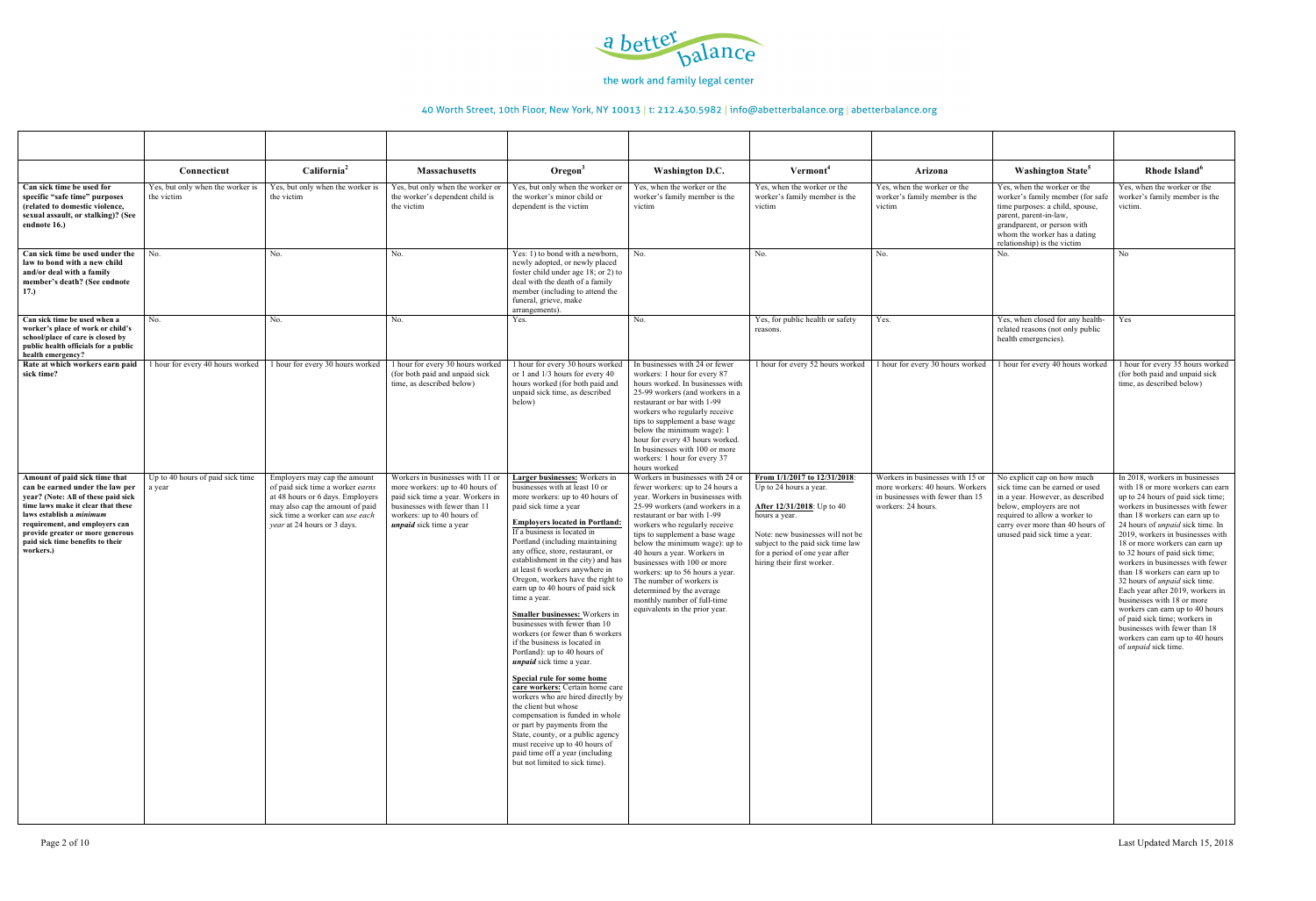

|                                                                                                                                                                                                                                                                                                  | Connecticut                                    | California <sup>2</sup>                                                                                                                                                                                   | <b>Massachusetts</b>                                                                                                                                                                                      | $O$ regon $3$                                                                                                                                                                                                                                                                                                                                                                                                                                                                                                                                                                                                                                                                                                                                                                                                                                                                                                                                                                                        | Washington D.C.                                                                                                                                                                                                                                                                                                                                                                                                                                                                                           | Vermont <sup>4</sup>                                                                                                                                                                                                                                   | Arizona                                                                                                                       | <b>Washington State<sup>5</sup></b>                                                                                                                                                                                                  | Rhode Island <sup>6</sup>                                                                                                                                                                                                                                                                                                                                                                                                                                                                                                                                                                                                                                                               |
|--------------------------------------------------------------------------------------------------------------------------------------------------------------------------------------------------------------------------------------------------------------------------------------------------|------------------------------------------------|-----------------------------------------------------------------------------------------------------------------------------------------------------------------------------------------------------------|-----------------------------------------------------------------------------------------------------------------------------------------------------------------------------------------------------------|------------------------------------------------------------------------------------------------------------------------------------------------------------------------------------------------------------------------------------------------------------------------------------------------------------------------------------------------------------------------------------------------------------------------------------------------------------------------------------------------------------------------------------------------------------------------------------------------------------------------------------------------------------------------------------------------------------------------------------------------------------------------------------------------------------------------------------------------------------------------------------------------------------------------------------------------------------------------------------------------------|-----------------------------------------------------------------------------------------------------------------------------------------------------------------------------------------------------------------------------------------------------------------------------------------------------------------------------------------------------------------------------------------------------------------------------------------------------------------------------------------------------------|--------------------------------------------------------------------------------------------------------------------------------------------------------------------------------------------------------------------------------------------------------|-------------------------------------------------------------------------------------------------------------------------------|--------------------------------------------------------------------------------------------------------------------------------------------------------------------------------------------------------------------------------------|-----------------------------------------------------------------------------------------------------------------------------------------------------------------------------------------------------------------------------------------------------------------------------------------------------------------------------------------------------------------------------------------------------------------------------------------------------------------------------------------------------------------------------------------------------------------------------------------------------------------------------------------------------------------------------------------|
| Can sick time be used for<br>specific "safe time" purposes<br>(related to domestic violence,<br>sexual assault, or stalking)? (See<br>endnote 16.)                                                                                                                                               | Yes, but only when the worker is<br>the victim | Yes, but only when the worker is<br>the victim                                                                                                                                                            | Yes, but only when the worker or<br>the worker's dependent child is<br>the victim                                                                                                                         | Yes, but only when the worker or<br>the worker's minor child or<br>dependent is the victim                                                                                                                                                                                                                                                                                                                                                                                                                                                                                                                                                                                                                                                                                                                                                                                                                                                                                                           | Yes, when the worker or the<br>worker's family member is the<br>victim                                                                                                                                                                                                                                                                                                                                                                                                                                    | Yes, when the worker or the<br>worker's family member is the<br>victim                                                                                                                                                                                 | Yes, when the worker or the<br>worker's family member is the<br>victim                                                        | Yes, when the worker or the<br>worker's family member (for safe<br>time purposes: a child, spouse,<br>parent, parent-in-law,<br>grandparent, or person with<br>whom the worker has a dating<br>relationship) is the victim           | Yes, when the worker or the<br>worker's family member is the<br>victim.                                                                                                                                                                                                                                                                                                                                                                                                                                                                                                                                                                                                                 |
| Can sick time be used under the<br>law to bond with a new child<br>and/or deal with a family<br>member's death? (See endnote<br>17.)                                                                                                                                                             | No.                                            | No.                                                                                                                                                                                                       | No.                                                                                                                                                                                                       | Yes: 1) to bond with a newborn,<br>newly adopted, or newly placed<br>foster child under age 18; or 2) to<br>deal with the death of a family<br>member (including to attend the<br>funeral, grieve, make<br>arrangements).                                                                                                                                                                                                                                                                                                                                                                                                                                                                                                                                                                                                                                                                                                                                                                            | No.                                                                                                                                                                                                                                                                                                                                                                                                                                                                                                       | No.                                                                                                                                                                                                                                                    | No.                                                                                                                           | No.                                                                                                                                                                                                                                  | No                                                                                                                                                                                                                                                                                                                                                                                                                                                                                                                                                                                                                                                                                      |
| Can sick time be used when a<br>worker's place of work or child's<br>school/place of care is closed by<br>public health officials for a public<br>health emergency?                                                                                                                              | No.                                            | No.                                                                                                                                                                                                       | No.                                                                                                                                                                                                       | Yes.                                                                                                                                                                                                                                                                                                                                                                                                                                                                                                                                                                                                                                                                                                                                                                                                                                                                                                                                                                                                 | No.                                                                                                                                                                                                                                                                                                                                                                                                                                                                                                       | Yes, for public health or safety<br>reasons.                                                                                                                                                                                                           | Yes.                                                                                                                          | Yes, when closed for any health-<br>related reasons (not only public<br>health emergencies).                                                                                                                                         | Yes                                                                                                                                                                                                                                                                                                                                                                                                                                                                                                                                                                                                                                                                                     |
| Rate at which workers earn paid<br>sick time?                                                                                                                                                                                                                                                    | 1 hour for every 40 hours worked               | 1 hour for every 30 hours worked                                                                                                                                                                          | 1 hour for every 30 hours worked<br>(for both paid and unpaid sick<br>time, as described below)                                                                                                           | 1 hour for every 30 hours worked<br>or 1 and 1/3 hours for every 40<br>hours worked (for both paid and<br>unpaid sick time, as described<br>below)                                                                                                                                                                                                                                                                                                                                                                                                                                                                                                                                                                                                                                                                                                                                                                                                                                                   | In businesses with 24 or fewer<br>workers: 1 hour for every 87<br>hours worked. In businesses with<br>25-99 workers (and workers in a<br>restaurant or bar with 1-99<br>workers who regularly receive<br>tips to supplement a base wage<br>below the minimum wage): $1$<br>hour for every 43 hours worked.<br>In businesses with 100 or more<br>workers: 1 hour for every 37<br>hours worked                                                                                                              | 1 hour for every 52 hours worked                                                                                                                                                                                                                       | 1 hour for every 30 hours worked                                                                                              | 1 hour for every 40 hours worked                                                                                                                                                                                                     | 1 hour for every 35 hours worked<br>(for both paid and unpaid sick<br>time, as described below)                                                                                                                                                                                                                                                                                                                                                                                                                                                                                                                                                                                         |
| Amount of paid sick time that<br>can be earned under the law per<br>year? (Note: All of these paid sick<br>time laws make it clear that these<br>laws establish a minimum<br>requirement, and employers can<br>provide greater or more generous<br>paid sick time benefits to their<br>workers.) | Up to 40 hours of paid sick time<br>a year     | Employers may cap the amount<br>of paid sick time a worker earns<br>at 48 hours or 6 days. Employers<br>may also cap the amount of paid<br>sick time a worker can use each<br>year at 24 hours or 3 days. | Workers in businesses with 11 or<br>more workers: up to 40 hours of<br>paid sick time a year. Workers in<br>businesses with fewer than 11<br>workers: up to 40 hours of<br><i>unpaid</i> sick time a year | Larger businesses: Workers in<br>businesses with at least 10 or<br>more workers: up to 40 hours of<br>paid sick time a year<br><b>Employers located in Portland:</b><br>If a business is located in<br>Portland (including maintaining<br>any office, store, restaurant, or<br>establishment in the city) and has<br>at least 6 workers anywhere in<br>Oregon, workers have the right to<br>earn up to 40 hours of paid sick<br>time a year.<br>Smaller businesses: Workers in<br>businesses with fewer than 10<br>workers (or fewer than 6 workers<br>if the business is located in<br>Portland): up to 40 hours of<br><i>unpaid</i> sick time a year.<br>Special rule for some home<br>care workers: Certain home care<br>workers who are hired directly by<br>the client but whose<br>compensation is funded in whole<br>or part by payments from the<br>State, county, or a public agency<br>must receive up to 40 hours of<br>paid time off a year (including<br>but not limited to sick time). | Workers in businesses with 24 or<br>fewer workers: up to 24 hours a<br>year. Workers in businesses with<br>25-99 workers (and workers in a<br>restaurant or bar with 1-99<br>workers who regularly receive<br>tips to supplement a base wage<br>below the minimum wage): up to<br>40 hours a year. Workers in<br>businesses with 100 or more<br>workers: up to 56 hours a year.<br>The number of workers is<br>determined by the average<br>monthly number of full-time<br>equivalents in the prior year. | From 1/1/2017 to 12/31/2018:<br>Up to 24 hours a year.<br><b>After 12/31/2018</b> : Up to 40<br>hours a year.<br>Note: new businesses will not be<br>subject to the paid sick time law<br>for a period of one year after<br>hiring their first worker. | Workers in businesses with 15 or<br>more workers: 40 hours. Workers<br>in businesses with fewer than 15<br>workers: 24 hours. | No explicit cap on how much<br>sick time can be earned or used<br>in a year. However, as described<br>below, employers are not<br>required to allow a worker to<br>carry over more than 40 hours of<br>unused paid sick time a year. | In 2018, workers in businesses<br>with 18 or more workers can earn<br>up to 24 hours of paid sick time;<br>workers in businesses with fewer<br>than 18 workers can earn up to<br>24 hours of <i>unpaid</i> sick time. In<br>2019, workers in businesses with<br>18 or more workers can earn up<br>to 32 hours of paid sick time;<br>workers in businesses with fewer<br>than 18 workers can earn up to<br>32 hours of <i>unpaid</i> sick time.<br>Each year after 2019, workers in<br>businesses with 18 or more<br>workers can earn up to 40 hours<br>of paid sick time; workers in<br>businesses with fewer than 18<br>workers can earn up to 40 hours<br>of <i>unpaid</i> sick time. |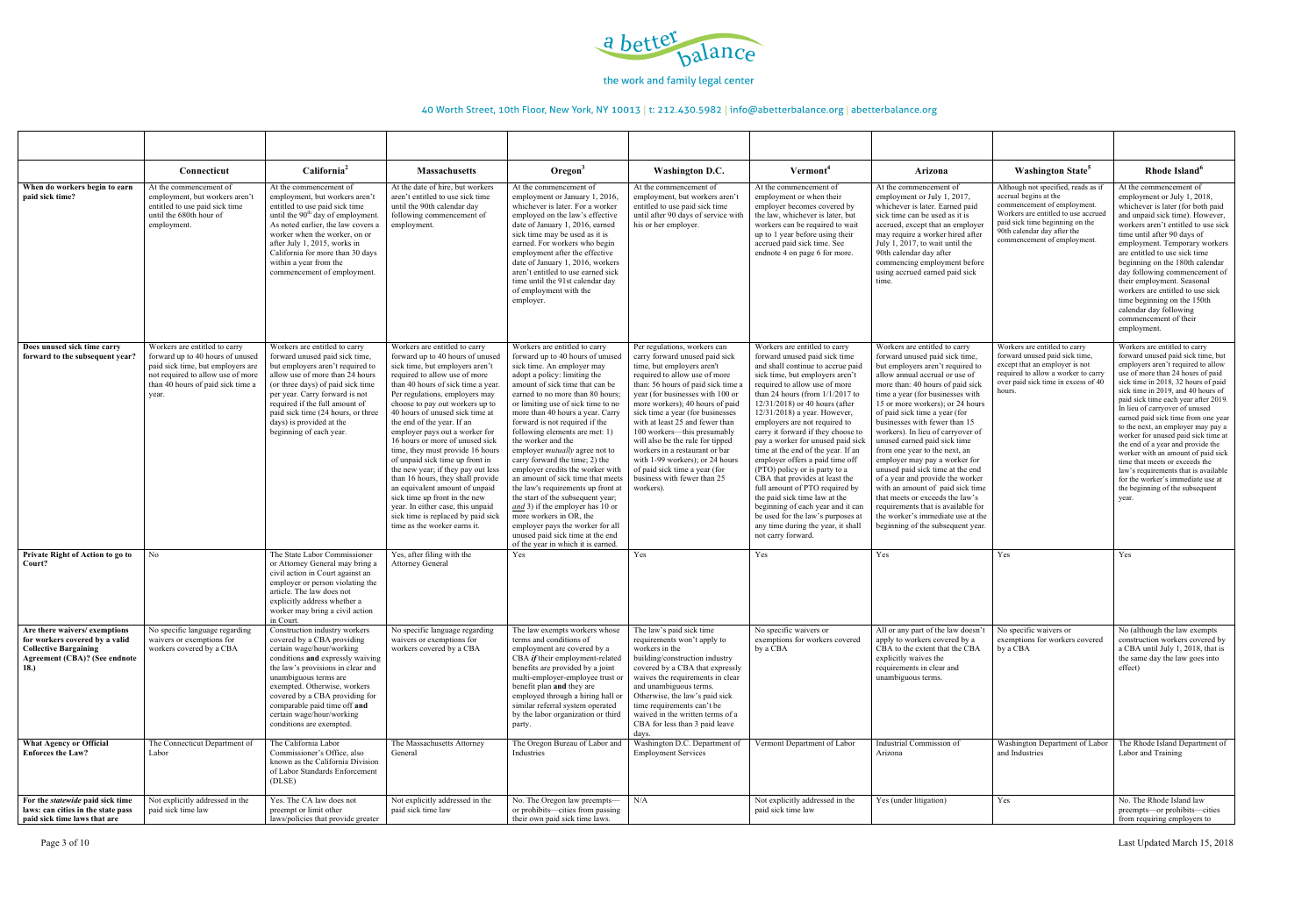

|                                                                                                                                                | Connecticut                                                                                                                                                                               | California <sup>2</sup>                                                                                                                                                                                                                                                                                                                               | <b>Massachusetts</b>                                                                                                                                                                                                                                                                                                                                                                                                                                                                                                                                                                                                                                                                                                   | $O$ regon $3$                                                                                                                                                                                                                                                                                                                                                                                                                                                                                                                                                                                                                                                                                                                                                                          | <b>Washington D.C.</b>                                                                                                                                                                                                                                                                                                                                                                                                                                                                                                                   | Vermont <sup>4</sup>                                                                                                                                                                                                                                                                                                                                                                                                                                                                                                                                                                                                                                                                                                                            | Arizona                                                                                                                                                                                                                                                                                                                                                                                                                                                                                                                                                                                                                                                                                                                   | <b>Washington State<sup>5</sup></b>                                                                                                                                                                                                 | Rhode Island <sup>6</sup>                                                                                                                                                                                                                                                                                                                                                                                                                                                                                                                                                                                                                                       |
|------------------------------------------------------------------------------------------------------------------------------------------------|-------------------------------------------------------------------------------------------------------------------------------------------------------------------------------------------|-------------------------------------------------------------------------------------------------------------------------------------------------------------------------------------------------------------------------------------------------------------------------------------------------------------------------------------------------------|------------------------------------------------------------------------------------------------------------------------------------------------------------------------------------------------------------------------------------------------------------------------------------------------------------------------------------------------------------------------------------------------------------------------------------------------------------------------------------------------------------------------------------------------------------------------------------------------------------------------------------------------------------------------------------------------------------------------|----------------------------------------------------------------------------------------------------------------------------------------------------------------------------------------------------------------------------------------------------------------------------------------------------------------------------------------------------------------------------------------------------------------------------------------------------------------------------------------------------------------------------------------------------------------------------------------------------------------------------------------------------------------------------------------------------------------------------------------------------------------------------------------|------------------------------------------------------------------------------------------------------------------------------------------------------------------------------------------------------------------------------------------------------------------------------------------------------------------------------------------------------------------------------------------------------------------------------------------------------------------------------------------------------------------------------------------|-------------------------------------------------------------------------------------------------------------------------------------------------------------------------------------------------------------------------------------------------------------------------------------------------------------------------------------------------------------------------------------------------------------------------------------------------------------------------------------------------------------------------------------------------------------------------------------------------------------------------------------------------------------------------------------------------------------------------------------------------|---------------------------------------------------------------------------------------------------------------------------------------------------------------------------------------------------------------------------------------------------------------------------------------------------------------------------------------------------------------------------------------------------------------------------------------------------------------------------------------------------------------------------------------------------------------------------------------------------------------------------------------------------------------------------------------------------------------------------|-------------------------------------------------------------------------------------------------------------------------------------------------------------------------------------------------------------------------------------|-----------------------------------------------------------------------------------------------------------------------------------------------------------------------------------------------------------------------------------------------------------------------------------------------------------------------------------------------------------------------------------------------------------------------------------------------------------------------------------------------------------------------------------------------------------------------------------------------------------------------------------------------------------------|
| When do workers begin to earn<br>paid sick time?                                                                                               | At the commencement of<br>employment, but workers aren't<br>entitled to use paid sick time<br>until the 680th hour of<br>employment.                                                      | At the commencement of<br>employment, but workers aren't<br>entitled to use paid sick time<br>until the 90 <sup>th</sup> day of employment.<br>As noted earlier, the law covers a<br>worker when the worker, on or<br>after July 1, 2015, works in<br>California for more than 30 days<br>within a year from the<br>commencement of employment        | At the date of hire, but workers<br>aren't entitled to use sick time<br>until the 90th calendar day<br>following commencement of<br>employment.                                                                                                                                                                                                                                                                                                                                                                                                                                                                                                                                                                        | At the commencement of<br>employment or January 1, 2016,<br>whichever is later. For a worker<br>employed on the law's effective<br>date of January 1, 2016, earned<br>sick time may be used as it is<br>earned. For workers who begin<br>employment after the effective<br>date of January 1, 2016, workers<br>aren't entitled to use earned sick<br>time until the 91st calendar day<br>of employment with the<br>employer.                                                                                                                                                                                                                                                                                                                                                           | At the commencement of<br>employment, but workers aren'<br>entitled to use paid sick time<br>until after 90 days of service with<br>his or her employer.                                                                                                                                                                                                                                                                                                                                                                                 | At the commencement of<br>employment or when their<br>employer becomes covered by<br>the law, whichever is later, but<br>workers can be required to wait<br>up to 1 year before using their<br>accrued paid sick time. See<br>endnote 4 on page 6 for more.                                                                                                                                                                                                                                                                                                                                                                                                                                                                                     | At the commencement of<br>employment or July 1, 2017,<br>whichever is later. Earned paid<br>sick time can be used as it is<br>accrued, except that an employer<br>may require a worker hired after<br>July 1, 2017, to wait until the<br>90th calendar day after<br>commencing employment before<br>using accrued earned paid sick<br>time.                                                                                                                                                                                                                                                                                                                                                                               | Although not specified, reads as if<br>accrual begins at the<br>commencement of employment.<br>Workers are entitled to use accrued<br>paid sick time beginning on the<br>90th calendar day after the<br>commencement of employment. | At the commencement of<br>employment or July 1, 2018,<br>whichever is later (for both paid<br>and unpaid sick time). However,<br>workers aren't entitled to use sick<br>time until after 90 days of<br>employment. Temporary workers<br>are entitled to use sick time<br>beginning on the 180th calendar<br>day following commencement of<br>their employment. Seasonal<br>workers are entitled to use sick<br>time beginning on the 150th<br>calendar day following<br>commencement of their<br>employment.                                                                                                                                                    |
| Does unused sick time carry<br>forward to the subsequent year?                                                                                 | Workers are entitled to carry<br>forward up to 40 hours of unused<br>paid sick time, but employers are<br>not required to allow use of more<br>than 40 hours of paid sick time a<br>year. | Workers are entitled to carry<br>forward unused paid sick time,<br>but employers aren't required to<br>allow use of more than 24 hours<br>(or three days) of paid sick time<br>per year. Carry forward is not<br>required if the full amount of<br>paid sick time (24 hours, or three<br>days) is provided at the<br>beginning of each year.          | Workers are entitled to carry<br>forward up to 40 hours of unused<br>sick time, but employers aren't<br>required to allow use of more<br>than 40 hours of sick time a year.<br>Per regulations, employers may<br>choose to pay out workers up to<br>40 hours of unused sick time at<br>the end of the year. If an<br>employer pays out a worker for<br>16 hours or more of unused sick<br>time, they must provide 16 hours<br>of unpaid sick time up front in<br>the new year; if they pay out less<br>than 16 hours, they shall provide<br>an equivalent amount of unpaid<br>sick time up front in the new<br>year. In either case, this unpaid<br>sick time is replaced by paid sick<br>time as the worker earns it. | Workers are entitled to carry<br>forward up to 40 hours of unused<br>sick time. An employer may<br>adopt a policy: limiting the<br>amount of sick time that can be<br>earned to no more than 80 hours;<br>or limiting use of sick time to no<br>more than 40 hours a year. Carry<br>forward is not required if the<br>following elements are met: 1)<br>the worker and the<br>employer <i>mutually</i> agree not to<br>carry forward the time; 2) the<br>employer credits the worker with<br>an amount of sick time that meets<br>the law's requirements up front at<br>the start of the subsequent year;<br>and 3) if the employer has 10 or<br>more workers in OR, the<br>employer pays the worker for all<br>unused paid sick time at the end<br>of the year in which it is earned. | Per regulations, workers can<br>carry forward unused paid sick<br>time, but employers aren't<br>required to allow use of more<br>than: 56 hours of paid sick time a<br>year (for businesses with 100 or<br>more workers); 40 hours of paid<br>sick time a year (for businesses<br>with at least 25 and fewer than<br>100 workers---this presumably<br>will also be the rule for tipped<br>workers in a restaurant or bar<br>with 1-99 workers); or 24 hours<br>of paid sick time a year (for<br>business with fewer than 25<br>workers). | Workers are entitled to carry<br>forward unused paid sick time<br>and shall continue to accrue paid<br>sick time, but employers aren't<br>required to allow use of more<br>than 24 hours (from $1/1/2017$ to<br>12/31/2018) or 40 hours (after<br>12/31/2018) a year. However,<br>employers are not required to<br>carry it forward if they choose to<br>pay a worker for unused paid sick<br>time at the end of the year. If an<br>employer offers a paid time off<br>(PTO) policy or is party to a<br>CBA that provides at least the<br>full amount of PTO required by<br>the paid sick time law at the<br>beginning of each year and it can<br>be used for the law's purposes at<br>any time during the year, it shall<br>not carry forward. | Workers are entitled to carry<br>forward unused paid sick time,<br>but employers aren't required to<br>allow annual accrual or use of<br>more than: 40 hours of paid sick<br>time a year (for businesses with<br>15 or more workers); or 24 hours<br>of paid sick time a year (for<br>businesses with fewer than 15<br>workers). In lieu of carryover of<br>unused earned paid sick time<br>from one year to the next, an<br>employer may pay a worker for<br>unused paid sick time at the end<br>of a year and provide the worker<br>with an amount of paid sick time<br>that meets or exceeds the law's<br>requirements that is available for<br>the worker's immediate use at the<br>beginning of the subsequent year. | Workers are entitled to carry<br>forward unused paid sick time,<br>except that an employer is not<br>required to allow a worker to carry<br>over paid sick time in excess of 40<br>hours.                                           | Workers are entitled to carry<br>forward unused paid sick time, but<br>employers aren't required to allow<br>use of more than 24 hours of paid<br>sick time in 2018, 32 hours of paid<br>sick time in 2019, and 40 hours of<br>paid sick time each year after 2019.<br>In lieu of carryover of unused<br>earned paid sick time from one year<br>to the next, an employer may pay a<br>worker for unused paid sick time at<br>the end of a year and provide the<br>worker with an amount of paid sick<br>time that meets or exceeds the<br>law's requirements that is available<br>for the worker's immediate use at<br>the beginning of the subsequent<br>year. |
| Private Right of Action to go to<br>Court?                                                                                                     | No.                                                                                                                                                                                       | The State Labor Commissioner<br>or Attorney General may bring a<br>civil action in Court against an<br>employer or person violating the<br>article. The law does not<br>explicitly address whether a<br>worker may bring a civil action<br>in Court.                                                                                                  | Yes, after filing with the<br><b>Attorney General</b>                                                                                                                                                                                                                                                                                                                                                                                                                                                                                                                                                                                                                                                                  | Yes                                                                                                                                                                                                                                                                                                                                                                                                                                                                                                                                                                                                                                                                                                                                                                                    | Yes                                                                                                                                                                                                                                                                                                                                                                                                                                                                                                                                      | Yes                                                                                                                                                                                                                                                                                                                                                                                                                                                                                                                                                                                                                                                                                                                                             | Yes                                                                                                                                                                                                                                                                                                                                                                                                                                                                                                                                                                                                                                                                                                                       | Yes                                                                                                                                                                                                                                 | Yes                                                                                                                                                                                                                                                                                                                                                                                                                                                                                                                                                                                                                                                             |
| Are there waivers/exemptions<br>for workers covered by a valid<br><b>Collective Bargaining</b><br><b>Agreement (CBA)? (See endnote</b><br>18.) | No specific language regarding<br>waivers or exemptions for<br>workers covered by a CBA                                                                                                   | Construction industry workers<br>covered by a CBA providing<br>certain wage/hour/working<br>conditions and expressly waiving<br>the law's provisions in clear and<br>unambiguous terms are<br>exempted. Otherwise, workers<br>covered by a CBA providing for<br>comparable paid time off and<br>certain wage/hour/working<br>conditions are exempted. | No specific language regarding<br>waivers or exemptions for<br>workers covered by a CBA                                                                                                                                                                                                                                                                                                                                                                                                                                                                                                                                                                                                                                | The law exempts workers whose<br>terms and conditions of<br>employment are covered by a<br>CBA if their employment-related<br>benefits are provided by a joint<br>multi-employer-employee trust or<br>benefit plan and they are<br>employed through a hiring hall of<br>similar referral system operated<br>by the labor organization or third<br>party.                                                                                                                                                                                                                                                                                                                                                                                                                               | The law's paid sick time<br>requirements won't apply to<br>workers in the<br>building/construction industry<br>covered by a CBA that expressly<br>waives the requirements in clear<br>and unambiguous terms.<br>Otherwise, the law's paid sick<br>time requirements can't be<br>waived in the written terms of a<br>CBA for less than 3 paid leave<br>days.                                                                                                                                                                              | No specific waivers or<br>exemptions for workers covered<br>by a CBA                                                                                                                                                                                                                                                                                                                                                                                                                                                                                                                                                                                                                                                                            | All or any part of the law doesn't<br>apply to workers covered by a<br>CBA to the extent that the CBA<br>explicitly waives the<br>requirements in clear and<br>unambiguous terms.                                                                                                                                                                                                                                                                                                                                                                                                                                                                                                                                         | No specific waivers or<br>exemptions for workers covered<br>by a CBA                                                                                                                                                                | No (although the law exempts<br>construction workers covered by<br>a CBA until July 1, 2018, that is<br>the same day the law goes into<br>effect)                                                                                                                                                                                                                                                                                                                                                                                                                                                                                                               |
| What Agency or Official<br><b>Enforces the Law?</b>                                                                                            | The Connecticut Department of<br>Labor                                                                                                                                                    | The California Labor<br>Commissioner's Office, also<br>known as the California Division<br>of Labor Standards Enforcement<br>(DLSE)                                                                                                                                                                                                                   | The Massachusetts Attorney<br>General                                                                                                                                                                                                                                                                                                                                                                                                                                                                                                                                                                                                                                                                                  | The Oregon Bureau of Labor and<br>Industries                                                                                                                                                                                                                                                                                                                                                                                                                                                                                                                                                                                                                                                                                                                                           | Washington D.C. Department of<br><b>Employment Services</b>                                                                                                                                                                                                                                                                                                                                                                                                                                                                              | Vermont Department of Labor                                                                                                                                                                                                                                                                                                                                                                                                                                                                                                                                                                                                                                                                                                                     | Industrial Commission of<br>Arizona                                                                                                                                                                                                                                                                                                                                                                                                                                                                                                                                                                                                                                                                                       | Washington Department of Labor<br>and Industries                                                                                                                                                                                    | The Rhode Island Department of<br>Labor and Training                                                                                                                                                                                                                                                                                                                                                                                                                                                                                                                                                                                                            |
| For the statewide paid sick time<br>laws: can cities in the state pass<br>paid sick time laws that are                                         | Not explicitly addressed in the<br>paid sick time law                                                                                                                                     | Yes. The CA law does not<br>preempt or limit other<br>laws/policies that provide greater                                                                                                                                                                                                                                                              | Not explicitly addressed in the<br>paid sick time law                                                                                                                                                                                                                                                                                                                                                                                                                                                                                                                                                                                                                                                                  | No. The Oregon law preempts-<br>or prohibits-cities from passing<br>their own paid sick time laws.                                                                                                                                                                                                                                                                                                                                                                                                                                                                                                                                                                                                                                                                                     | N/A                                                                                                                                                                                                                                                                                                                                                                                                                                                                                                                                      | Not explicitly addressed in the<br>paid sick time law                                                                                                                                                                                                                                                                                                                                                                                                                                                                                                                                                                                                                                                                                           | $Yes$ (under litigation)                                                                                                                                                                                                                                                                                                                                                                                                                                                                                                                                                                                                                                                                                                  | Yes                                                                                                                                                                                                                                 | No. The Rhode Island law<br>preempts-or prohibits-cities<br>from requiring employers to                                                                                                                                                                                                                                                                                                                                                                                                                                                                                                                                                                         |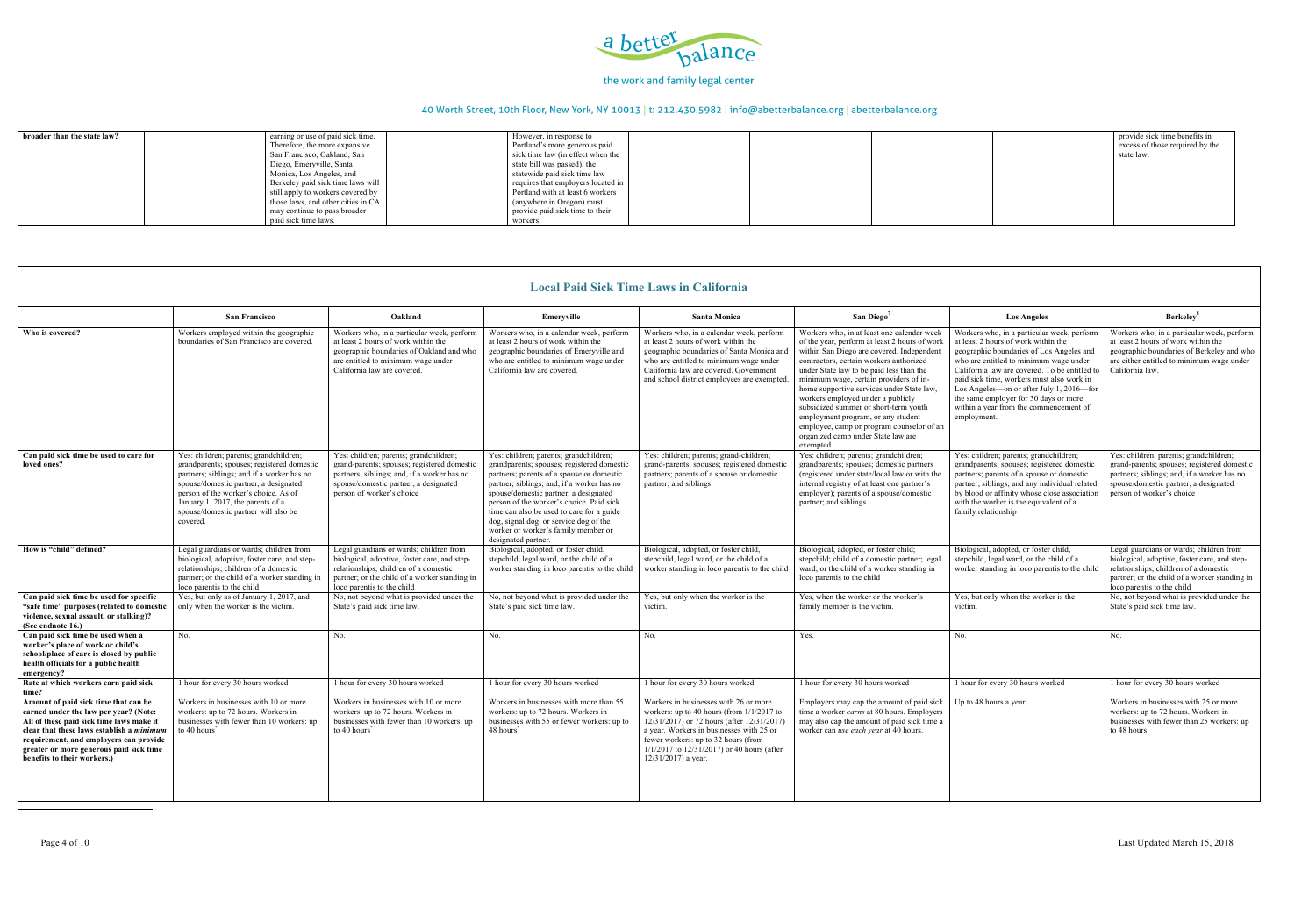

| <b>San Francisco</b>                                                                                                                                                                                                                                               | Oakland                                                                                                                                                                                                         | Emeryville                                                                                                                                                                                                                                                                                                                                                                      | <b>Santa Monica</b>                                                                                                                                                                                                                                                                                | San Diego <sup>7</sup>                                                                                                                                                                                                                                                                                                                                                                                                                                                                                                                     | <b>Los Angeles</b>                                                                                                                                                                                                                                                                                                                                                                                                  | Berkeley <sup>8</sup>                                                                                                                                                                                           |
|--------------------------------------------------------------------------------------------------------------------------------------------------------------------------------------------------------------------------------------------------------------------|-----------------------------------------------------------------------------------------------------------------------------------------------------------------------------------------------------------------|---------------------------------------------------------------------------------------------------------------------------------------------------------------------------------------------------------------------------------------------------------------------------------------------------------------------------------------------------------------------------------|----------------------------------------------------------------------------------------------------------------------------------------------------------------------------------------------------------------------------------------------------------------------------------------------------|--------------------------------------------------------------------------------------------------------------------------------------------------------------------------------------------------------------------------------------------------------------------------------------------------------------------------------------------------------------------------------------------------------------------------------------------------------------------------------------------------------------------------------------------|---------------------------------------------------------------------------------------------------------------------------------------------------------------------------------------------------------------------------------------------------------------------------------------------------------------------------------------------------------------------------------------------------------------------|-----------------------------------------------------------------------------------------------------------------------------------------------------------------------------------------------------------------|
| Workers employed within the geographic<br>boundaries of San Francisco are covered.                                                                                                                                                                                 | Workers who, in a particular week, perform<br>at least 2 hours of work within the<br>geographic boundaries of Oakland and who<br>are entitled to minimum wage under<br>California law are covered.              | Workers who, in a calendar week, perform<br>at least 2 hours of work within the<br>geographic boundaries of Emeryville and<br>who are entitled to minimum wage under<br>California law are covered.                                                                                                                                                                             | Workers who, in a calendar week, perform<br>at least 2 hours of work within the<br>geographic boundaries of Santa Monica and<br>who are entitled to minimum wage under<br>California law are covered. Government<br>and school district employees are exempted                                     | Workers who, in at least one calendar week<br>of the year, perform at least 2 hours of work<br>within San Diego are covered. Independent<br>contractors, certain workers authorized<br>under State law to be paid less than the<br>minimum wage, certain providers of in-<br>home supportive services under State law.<br>workers employed under a publicly<br>subsidized summer or short-term youth<br>employment program, or any student<br>employee, camp or program counselor of an<br>organized camp under State law are<br>exempted. | Workers who, in a particular week, perform<br>at least 2 hours of work within the<br>geographic boundaries of Los Angeles and<br>who are entitled to minimum wage under<br>California law are covered. To be entitled to<br>paid sick time, workers must also work in<br>Los Angeles—on or after July 1, 2016—for<br>the same employer for 30 days or more<br>within a year from the commencement of<br>employment. | Workers who, in a particular week, perform<br>at least 2 hours of work within the<br>geographic boundaries of Berkeley and who<br>are either entitled to minimum wage under<br>California law.                  |
| grandparents; spouses; registered domestic<br>partners; siblings; and if a worker has no<br>spouse/domestic partner, a designated<br>person of the worker's choice. As of<br>January 1, 2017, the parents of a<br>spouse/domestic partner will also be<br>covered. | grand-parents; spouses; registered domestic<br>partners; siblings; and, if a worker has no<br>spouse/domestic partner, a designated<br>person of worker's choice                                                | grandparents; spouses; registered domestic<br>partners; parents of a spouse or domestic<br>partner; siblings; and, if a worker has no<br>spouse/domestic partner, a designated<br>person of the worker's choice. Paid sick<br>time can also be used to care for a guide<br>dog, signal dog, or service dog of the<br>worker or worker's family member or<br>designated partner. | grand-parents; spouses; registered domesti-<br>partners; parents of a spouse or domestic<br>partner; and siblings                                                                                                                                                                                  | grandparents; spouses; domestic partners<br>(registered under state/local law or with the<br>internal registry of at least one partner's<br>employer); parents of a spouse/domestic<br>partner; and siblings                                                                                                                                                                                                                                                                                                                               | grandparents; spouses; registered domestic<br>partners; parents of a spouse or domestic<br>partner; siblings; and any individual related<br>by blood or affinity whose close association<br>with the worker is the equivalent of a<br>family relationship                                                                                                                                                           | Yes: children; parents; grandchildren;<br>grand-parents; spouses; registered domestic<br>partners; siblings; and, if a worker has no<br>spouse/domestic partner, a designated<br>person of worker's choice      |
| Legal guardians or wards; children from<br>biological, adoptive, foster care, and step-<br>relationships; children of a domestic<br>partner; or the child of a worker standing in<br>loco parentis to the child                                                    | Legal guardians or wards; children from<br>biological, adoptive, foster care, and step-<br>relationships; children of a domestic<br>partner; or the child of a worker standing in<br>loco parentis to the child | Biological, adopted, or foster child,<br>stepchild, legal ward, or the child of a<br>worker standing in loco parentis to the child                                                                                                                                                                                                                                              | Biological, adopted, or foster child,<br>stepchild, legal ward, or the child of a<br>worker standing in loco parentis to the child                                                                                                                                                                 | Biological, adopted, or foster child;<br>stepchild; child of a domestic partner; legal<br>ward; or the child of a worker standing in<br>loco parentis to the child                                                                                                                                                                                                                                                                                                                                                                         | Biological, adopted, or foster child,<br>stepchild, legal ward, or the child of a<br>worker standing in loco parentis to the child                                                                                                                                                                                                                                                                                  | Legal guardians or wards; children from<br>biological, adoptive, foster care, and step-<br>relationships; children of a domestic<br>partner; or the child of a worker standing in<br>loco parentis to the child |
| Yes, but only as of January 1, 2017, and<br>only when the worker is the victim.                                                                                                                                                                                    | State's paid sick time law.                                                                                                                                                                                     | No, not beyond what is provided under the<br>State's paid sick time law.                                                                                                                                                                                                                                                                                                        | Yes, but only when the worker is the<br>victim.                                                                                                                                                                                                                                                    | Yes, when the worker or the worker's<br>family member is the victim.                                                                                                                                                                                                                                                                                                                                                                                                                                                                       | Yes, but only when the worker is the<br>victim.                                                                                                                                                                                                                                                                                                                                                                     | No, not beyond what is provided under the<br>State's paid sick time law.                                                                                                                                        |
| No.                                                                                                                                                                                                                                                                | No.                                                                                                                                                                                                             | No.                                                                                                                                                                                                                                                                                                                                                                             | No.                                                                                                                                                                                                                                                                                                | Yes.                                                                                                                                                                                                                                                                                                                                                                                                                                                                                                                                       | No.                                                                                                                                                                                                                                                                                                                                                                                                                 | No.                                                                                                                                                                                                             |
| 1 hour for every 30 hours worked                                                                                                                                                                                                                                   | 1 hour for every 30 hours worked                                                                                                                                                                                | 1 hour for every 30 hours worked                                                                                                                                                                                                                                                                                                                                                | 1 hour for every 30 hours worked                                                                                                                                                                                                                                                                   | 1 hour for every 30 hours worked                                                                                                                                                                                                                                                                                                                                                                                                                                                                                                           | 1 hour for every 30 hours worked                                                                                                                                                                                                                                                                                                                                                                                    | 1 hour for every 30 hours worked                                                                                                                                                                                |
| Workers in businesses with 10 or more<br>workers: up to 72 hours. Workers in<br>businesses with fewer than 10 workers: up<br>to 40 hours <sup>†</sup>                                                                                                              | Workers in businesses with 10 or more<br>workers: up to 72 hours. Workers in<br>businesses with fewer than 10 workers: up<br>to 40 hours <sup>*</sup>                                                           | Workers in businesses with more than 55<br>workers: up to 72 hours. Workers in<br>businesses with 55 or fewer workers: up to<br>48 hours <sup>*</sup>                                                                                                                                                                                                                           | Workers in businesses with 26 or more<br>workers: up to 40 hours (from $1/1/2017$ to<br>12/31/2017) or 72 hours (after 12/31/2017)<br>a year. Workers in businesses with 25 or<br>fewer workers: up to 32 hours (from<br>$1/1/2017$ to $12/31/2017$ ) or 40 hours (after<br>$12/31/2017$ ) a year. | Employers may cap the amount of paid sick<br>time a worker <i>earns</i> at 80 hours. Employers<br>worker can use each year at 40 hours.                                                                                                                                                                                                                                                                                                                                                                                                    | Up to 48 hours a year                                                                                                                                                                                                                                                                                                                                                                                               | Workers in businesses with 25 or more<br>workers: up to 72 hours. Workers in<br>businesses with fewer than 25 workers: up<br>to 48 hours                                                                        |
|                                                                                                                                                                                                                                                                    | Yes: children; parents; grandchildren;                                                                                                                                                                          | Yes: children; parents; grandchildren;<br>No, not beyond what is provided under the                                                                                                                                                                                                                                                                                             | Yes: children; parents; grandchildren;                                                                                                                                                                                                                                                             | Yes: children; parents; grand-children;                                                                                                                                                                                                                                                                                                                                                                                                                                                                                                    | Lucal I alu Sick Thile Laws III California<br>Yes: children; parents; grandchildren;<br>may also cap the amount of paid sick time a                                                                                                                                                                                                                                                                                 | Yes: children; parents; grandchildren;                                                                                                                                                                          |

| broader than the state law? | earning or use of paid sick time.  | However, in response to            | provide sick time benefits in   |
|-----------------------------|------------------------------------|------------------------------------|---------------------------------|
|                             | Therefore, the more expansive      | Portland's more generous paid      | excess of those required by the |
|                             | San Francisco, Oakland, San        | sick time law (in effect when the  | state law.                      |
|                             | Diego, Emeryville, Santa           | state bill was passed), the        |                                 |
|                             | Monica, Los Angeles, and           | statewide paid sick time law       |                                 |
|                             | Berkeley paid sick time laws will  | requires that employers located in |                                 |
|                             | still apply to workers covered by  | Portland with at least 6 workers   |                                 |
|                             | those laws, and other cities in CA | (anywhere in Oregon) must          |                                 |
|                             | may continue to pass broader       | provide paid sick time to their    |                                 |
|                             | paid sick time laws.               | workers.                           |                                 |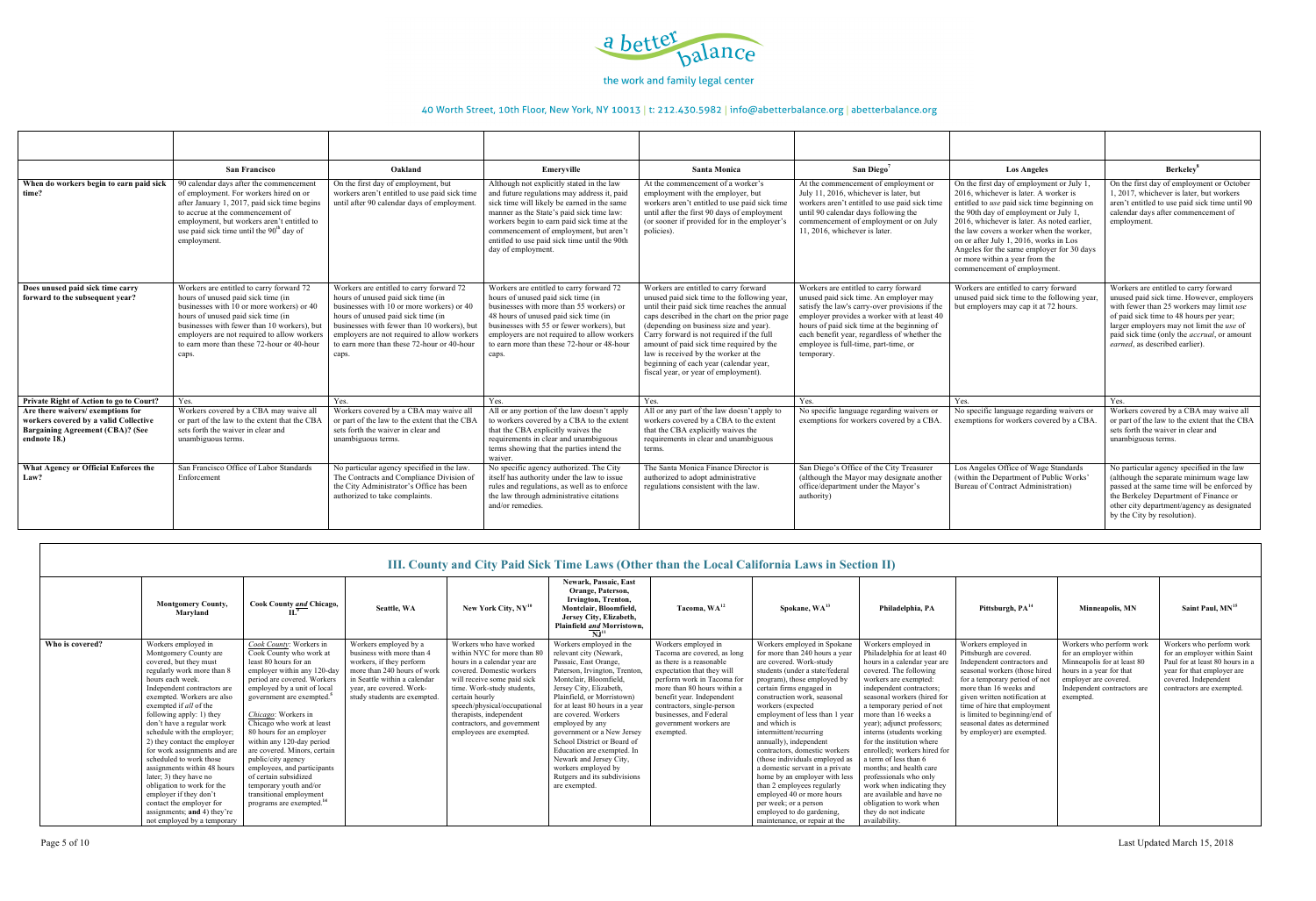

|                                                                                                                                      | <b>San Francisco</b>                                                                                                                                                                                                                                                                                                   | Oakland                                                                                                                                                                                                                                                                                                                | Emervville                                                                                                                                                                                                                                                                                                                                           | <b>Santa Monica</b>                                                                                                                                                                                                                                                                                                                                                                                                                                  | San Diego <sup>7</sup>                                                                                                                                                                                                                                                                                                                | <b>Los Angeles</b>                                                                                                                                                                                                                                                                                                                                                                                                            | Berkeley <sup>8</sup>                                                                                                                                                                                                                                                                                           |
|--------------------------------------------------------------------------------------------------------------------------------------|------------------------------------------------------------------------------------------------------------------------------------------------------------------------------------------------------------------------------------------------------------------------------------------------------------------------|------------------------------------------------------------------------------------------------------------------------------------------------------------------------------------------------------------------------------------------------------------------------------------------------------------------------|------------------------------------------------------------------------------------------------------------------------------------------------------------------------------------------------------------------------------------------------------------------------------------------------------------------------------------------------------|------------------------------------------------------------------------------------------------------------------------------------------------------------------------------------------------------------------------------------------------------------------------------------------------------------------------------------------------------------------------------------------------------------------------------------------------------|---------------------------------------------------------------------------------------------------------------------------------------------------------------------------------------------------------------------------------------------------------------------------------------------------------------------------------------|-------------------------------------------------------------------------------------------------------------------------------------------------------------------------------------------------------------------------------------------------------------------------------------------------------------------------------------------------------------------------------------------------------------------------------|-----------------------------------------------------------------------------------------------------------------------------------------------------------------------------------------------------------------------------------------------------------------------------------------------------------------|
| When do workers begin to earn paid sick<br>time?                                                                                     | 90 calendar days after the commencement<br>of employment. For workers hired on or<br>after January 1, 2017, paid sick time begins<br>to accrue at the commencement of<br>employment, but workers aren't entitled to<br>use paid sick time until the $90th$ day of<br>employment.                                       | On the first day of employment, but<br>workers aren't entitled to use paid sick time<br>until after 90 calendar days of employment                                                                                                                                                                                     | Although not explicitly stated in the law<br>and future regulations may address it, paid<br>sick time will likely be earned in the same<br>manner as the State's paid sick time law:<br>workers begin to earn paid sick time at the<br>commencement of employment, but aren't<br>entitled to use paid sick time until the 90th<br>day of employment. | At the commencement of a worker's<br>employment with the employer, but<br>workers aren't entitled to use paid sick time<br>until after the first 90 days of employment<br>(or sooner if provided for in the employer's<br>policies).                                                                                                                                                                                                                 | At the commencement of employment of<br>July 11, 2016, whichever is later, but<br>workers aren't entitled to use paid sick time<br>until 90 calendar days following the<br>commencement of employment or on July<br>11, 2016, whichever is later.                                                                                     | On the first day of employment or July 1,<br>2016, whichever is later. A worker is<br>entitled to use paid sick time beginning on<br>the 90th day of employment or July 1,<br>2016, whichever is later. As noted earlier.<br>the law covers a worker when the worker,<br>on or after July 1, 2016, works in Los<br>Angeles for the same employer for 30 days<br>or more within a year from the<br>commencement of employment. | On the first day of employment or October<br>1, 2017, whichever is later, but workers<br>aren't entitled to use paid sick time until 90<br>calendar days after commencement of<br>employment.                                                                                                                   |
| Does unused paid sick time carry<br>forward to the subsequent year?                                                                  | Workers are entitled to carry forward 72<br>hours of unused paid sick time (in<br>businesses with 10 or more workers) or 40<br>hours of unused paid sick time (in<br>businesses with fewer than 10 workers), but<br>employers are not required to allow workers<br>to earn more than these 72-hour or 40-hour<br>caps. | Workers are entitled to carry forward 72<br>hours of unused paid sick time (in<br>businesses with 10 or more workers) or 40<br>hours of unused paid sick time (in<br>businesses with fewer than 10 workers), but<br>employers are not required to allow workers<br>to earn more than these 72-hour or 40-hour<br>caps. | Workers are entitled to carry forward 72<br>hours of unused paid sick time (in<br>businesses with more than 55 workers) or<br>48 hours of unused paid sick time (in<br>businesses with 55 or fewer workers), but<br>employers are not required to allow workers<br>to earn more than these 72-hour or 48-hour<br>caps.                               | Workers are entitled to carry forward<br>unused paid sick time to the following year,<br>until their paid sick time reaches the annual<br>caps described in the chart on the prior page<br>(depending on business size and year).<br>Carry forward is not required if the full<br>amount of paid sick time required by the<br>law is received by the worker at the<br>beginning of each year (calendar year,<br>fiscal year, or year of employment). | Workers are entitled to carry forward<br>unused paid sick time. An employer may<br>satisfy the law's carry-over provisions if the<br>employer provides a worker with at least 40<br>hours of paid sick time at the beginning of<br>each benefit year, regardless of whether the<br>employee is full-time, part-time, or<br>temporary. | Workers are entitled to carry forward<br>unused paid sick time to the following year,<br>but employers may cap it at 72 hours.                                                                                                                                                                                                                                                                                                | Workers are entitled to carry forward<br>unused paid sick time. However, employers<br>with fewer than 25 workers may limit use<br>of paid sick time to 48 hours per year;<br>larger employers may not limit the use of<br>paid sick time (only the <i>accrual</i> , or amount<br>earned, as described earlier). |
| Private Right of Action to go to Court?                                                                                              | Yes.                                                                                                                                                                                                                                                                                                                   | Yes.                                                                                                                                                                                                                                                                                                                   | Yes.                                                                                                                                                                                                                                                                                                                                                 | Yes.                                                                                                                                                                                                                                                                                                                                                                                                                                                 | Yes.                                                                                                                                                                                                                                                                                                                                  | Yes.                                                                                                                                                                                                                                                                                                                                                                                                                          | Yes.                                                                                                                                                                                                                                                                                                            |
| Are there waivers/exemptions for<br>workers covered by a valid Collective<br><b>Bargaining Agreement (CBA)? (See</b><br>endnote 18.) | Workers covered by a CBA may waive all<br>or part of the law to the extent that the CBA<br>sets forth the waiver in clear and<br>unambiguous terms.                                                                                                                                                                    | Workers covered by a CBA may waive all<br>or part of the law to the extent that the CBA<br>sets forth the waiver in clear and<br>unambiguous terms.                                                                                                                                                                    | All or any portion of the law doesn't apply<br>to workers covered by a CBA to the extent<br>that the CBA explicitly waives the<br>requirements in clear and unambiguous<br>terms showing that the parties intend the<br>waiver.                                                                                                                      | All or any part of the law doesn't apply to<br>workers covered by a CBA to the extent<br>that the CBA explicitly waives the<br>requirements in clear and unambiguous<br>terms.                                                                                                                                                                                                                                                                       | No specific language regarding waivers or<br>exemptions for workers covered by a CBA.                                                                                                                                                                                                                                                 | No specific language regarding waivers or<br>exemptions for workers covered by a CBA                                                                                                                                                                                                                                                                                                                                          | Workers covered by a CBA may waive all<br>or part of the law to the extent that the CBA<br>sets forth the waiver in clear and<br>unambiguous terms.                                                                                                                                                             |
| What Agency or Official Enforces the<br>Law?                                                                                         | San Francisco Office of Labor Standards<br>Enforcement                                                                                                                                                                                                                                                                 | No particular agency specified in the law<br>The Contracts and Compliance Division<br>the City Administrator's Office has been<br>authorized to take complaints.                                                                                                                                                       | No specific agency authorized. The City<br>itself has authority under the law to issue<br>rules and regulations, as well as to enforce<br>the law through administrative citations<br>and/or remedies.                                                                                                                                               | The Santa Monica Finance Director is<br>authorized to adopt administrative<br>regulations consistent with the law.                                                                                                                                                                                                                                                                                                                                   | San Diego's Office of the City Treasurer<br>(although the Mayor may designate another<br>office/department under the Mayor's<br>authority)                                                                                                                                                                                            | Los Angeles Office of Wage Standards<br>(within the Department of Public Works'<br>Bureau of Contract Administration)                                                                                                                                                                                                                                                                                                         | No particular agency specified in the law<br>(although the separate minimum wage law<br>passed at the same time will be enforced by<br>the Berkeley Department of Finance or<br>other city department/agency as designated<br>by the City by resolution).                                                       |

|                 | III. County and City Paid Sick Time Laws (Other than the Local California Laws in Section II)                                                                                                                                                                                                                                                                                                                                                                                                                                                                                         |                                                                                                                                                                                                                                                                                                                                                                                                                                                                                                                                           |                                                                                                                                                                                                           |                                                                                                                                                                                                                                                                                                                         |                                                                                                                                                                                                                                                                                                                                                                                                                                                                            |                                                                                                                                                                                                                                                                                                        |                                                                                                                                                                                                                                                                                                                                                                                                                                                                                                                                                                                                          |                                                                                                                                                                                                                                                                                                                                                                                                                                                                                                                                                                            |                                                                                                                                                                                                                                                                                                                                            |                                                                                                                                                                                    |                                                                                                                                                                                |  |  |  |
|-----------------|---------------------------------------------------------------------------------------------------------------------------------------------------------------------------------------------------------------------------------------------------------------------------------------------------------------------------------------------------------------------------------------------------------------------------------------------------------------------------------------------------------------------------------------------------------------------------------------|-------------------------------------------------------------------------------------------------------------------------------------------------------------------------------------------------------------------------------------------------------------------------------------------------------------------------------------------------------------------------------------------------------------------------------------------------------------------------------------------------------------------------------------------|-----------------------------------------------------------------------------------------------------------------------------------------------------------------------------------------------------------|-------------------------------------------------------------------------------------------------------------------------------------------------------------------------------------------------------------------------------------------------------------------------------------------------------------------------|----------------------------------------------------------------------------------------------------------------------------------------------------------------------------------------------------------------------------------------------------------------------------------------------------------------------------------------------------------------------------------------------------------------------------------------------------------------------------|--------------------------------------------------------------------------------------------------------------------------------------------------------------------------------------------------------------------------------------------------------------------------------------------------------|----------------------------------------------------------------------------------------------------------------------------------------------------------------------------------------------------------------------------------------------------------------------------------------------------------------------------------------------------------------------------------------------------------------------------------------------------------------------------------------------------------------------------------------------------------------------------------------------------------|----------------------------------------------------------------------------------------------------------------------------------------------------------------------------------------------------------------------------------------------------------------------------------------------------------------------------------------------------------------------------------------------------------------------------------------------------------------------------------------------------------------------------------------------------------------------------|--------------------------------------------------------------------------------------------------------------------------------------------------------------------------------------------------------------------------------------------------------------------------------------------------------------------------------------------|------------------------------------------------------------------------------------------------------------------------------------------------------------------------------------|--------------------------------------------------------------------------------------------------------------------------------------------------------------------------------|--|--|--|
|                 | <b>Montgomery County,</b><br>Marvland                                                                                                                                                                                                                                                                                                                                                                                                                                                                                                                                                 | Cook County and Chicago,                                                                                                                                                                                                                                                                                                                                                                                                                                                                                                                  | Seattle, WA                                                                                                                                                                                               | New York City, NY <sup>10</sup>                                                                                                                                                                                                                                                                                         | <b>Newark, Passaic, East</b><br>Orange, Paterson.<br>Irvington, Trenton,<br>Montclair, Bloomfield,<br>Jersey City, Elizabeth,<br>Plainfield and Morristown,<br>$\mathbf{N} \mathbf{J}^{11}$                                                                                                                                                                                                                                                                                | Tacoma, WA <sup>12</sup>                                                                                                                                                                                                                                                                               | Spokane, WA <sup>13</sup>                                                                                                                                                                                                                                                                                                                                                                                                                                                                                                                                                                                | Philadelphia, PA                                                                                                                                                                                                                                                                                                                                                                                                                                                                                                                                                           | Pittsburgh, PA <sup>14</sup>                                                                                                                                                                                                                                                                                                               | <b>Minneapolis, MN</b>                                                                                                                                                             | Saint Paul, MN <sup>15</sup>                                                                                                                                                   |  |  |  |
| Who is covered? | Workers employed in<br>Montgomery County are<br>covered, but they must<br>regularly work more than 8<br>hours each week.<br>Independent contractors are<br>exempted. Workers are also<br>exempted if <i>all</i> of the<br>following apply: 1) they<br>don't have a regular work<br>schedule with the employer;<br>2) they contact the employer<br>for work assignments and are<br>scheduled to work those<br>assignments within 48 hours<br>later; 3) they have no<br>obligation to work for the<br>employer if they don't<br>contact the employer for<br>assignments; and 4) they're | Cook County: Workers in<br>Cook County who work at<br>least 80 hours for an<br>employer within any 120-day<br>period are covered. Workers<br>employed by a unit of local<br>government are exempted. <sup>5</sup><br>Chicago: Workers in<br>Chicago who work at least<br>80 hours for an employer<br>within any 120-day period<br>are covered. Minors, certain<br>public/city agency<br>employees, and participants<br>of certain subsidized<br>temporary youth and/or<br>transitional employment<br>programs are exempted. <sup>14</sup> | Workers employed by a<br>business with more than 4<br>workers, if they perform<br>more than 240 hours of work<br>in Seattle within a calendar<br>year, are covered. Work-<br>study students are exempted. | Workers who have worked<br>within NYC for more than 80<br>hours in a calendar year are<br>covered. Domestic workers<br>will receive some paid sick<br>time. Work-study students,<br>certain hourly<br>speech/physical/occupational<br>therapists, independent<br>contractors, and government<br>employees are exempted. | Workers employed in the<br>relevant city (Newark,<br>Passaic, East Orange,<br>Paterson, Irvington, Trenton,<br>Montclair, Bloomfield.<br>Jersey City, Elizabeth,<br>Plainfield, or Morristown)<br>for at least 80 hours in a year<br>are covered. Workers<br>employed by any<br>government or a New Jersey<br>School District or Board of<br>Education are exempted. In<br>Newark and Jersey City,<br>workers employed by<br>Rutgers and its subdivisions<br>are exempted. | Workers employed in<br>Tacoma are covered, as long<br>as there is a reasonable<br>expectation that they will<br>perform work in Tacoma for<br>more than 80 hours within a<br>benefit year. Independent<br>contractors, single-person<br>businesses, and Federal<br>government workers are<br>exempted. | Workers employed in Spokane<br>for more than 240 hours a year<br>are covered. Work-study<br>students (under a state/federal<br>program), those employed by<br>certain firms engaged in<br>construction work, seasonal<br>workers (expected<br>employment of less than 1 year<br>and which is<br>intermittent/recurring<br>annually), independent<br>contractors, domestic workers<br>(those individuals employed as<br>a domestic servant in a private<br>home by an employer with less<br>than 2 employees regularly<br>employed 40 or more hours<br>per week; or a person<br>employed to do gardening, | Workers employed in<br>Philadelphia for at least 40<br>hours in a calendar year are<br>covered. The following<br>workers are exempted:<br>independent contractors;<br>seasonal workers (hired for<br>a temporary period of not<br>more than 16 weeks a<br>year); adjunct professors;<br>interns (students working)<br>for the institution where<br>enrolled); workers hired for<br>a term of less than 6<br>months: and health care<br>professionals who only<br>work when indicating they<br>are available and have no<br>obligation to work when<br>they do not indicate | Workers employed in<br>Pittsburgh are covered.<br>Independent contractors and<br>seasonal workers (those hired<br>for a temporary period of not<br>more than 16 weeks and<br>given written notification at<br>time of hire that employment<br>is limited to beginning/end of<br>seasonal dates as determined<br>by employer) are exempted. | Workers who perform work<br>for an employer within<br>Minneapolis for at least 80<br>hours in a year for that<br>employer are covered.<br>Independent contractors are<br>exempted. | Workers who perform work<br>for an employer within Saint<br>Paul for at least 80 hours in a<br>year for that employer are<br>covered. Independent<br>contractors are exempted. |  |  |  |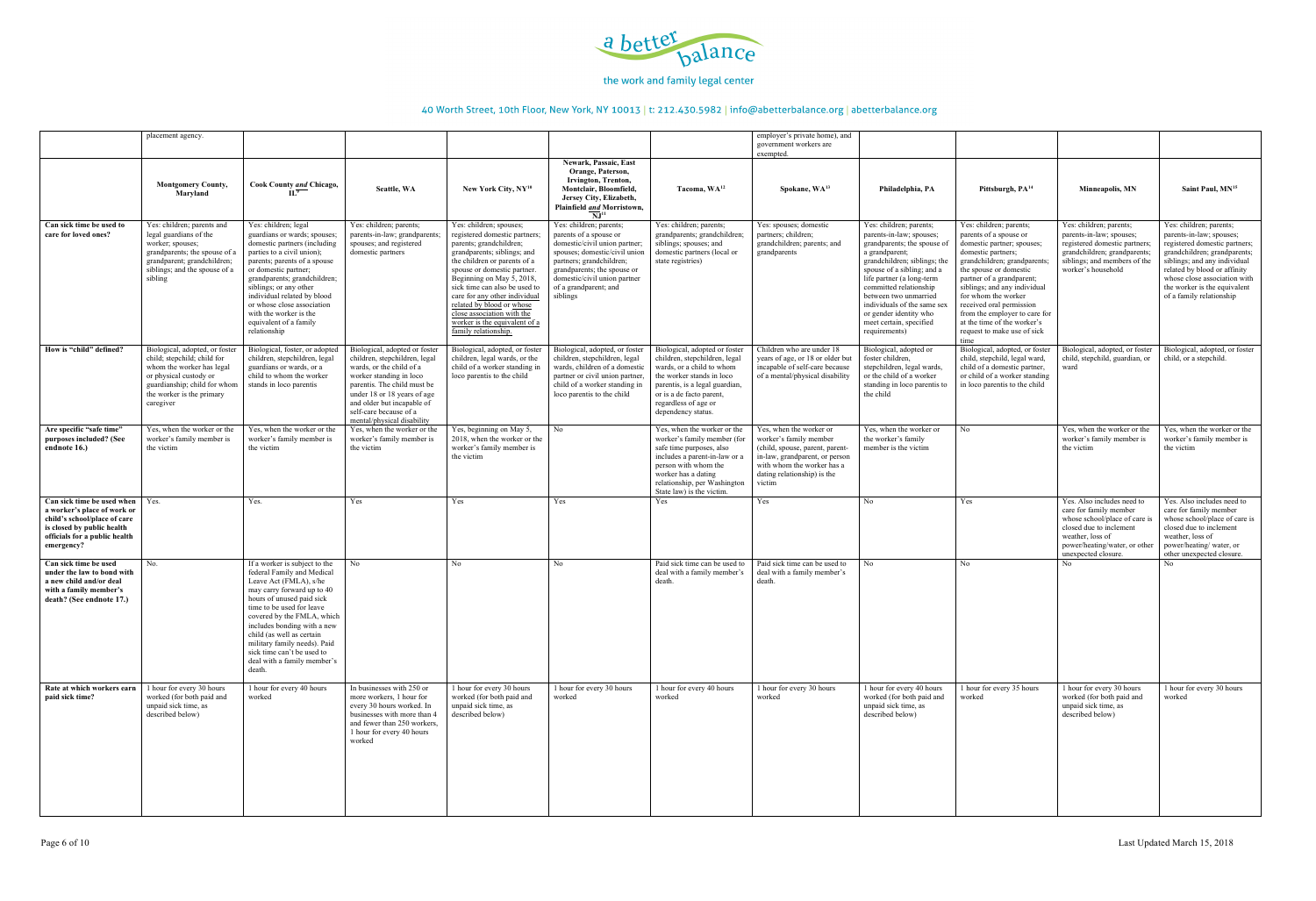

|                                                                                                                                                                        | placement agency                                                                                                                                                                               |                                                                                                                                                                                                                                                                                                                                                                                |                                                                                                                                                                                                                                                                           |                                                                                                                                                                                                                                                                                                                                                                                                                    |                                                                                                                                                                                                                                                     |                                                                                                                                                                                                                                      | employer's private home), and<br>government workers are<br>exempted.                                                                                                                          |                                                                                                                                                                                                                                                                                                                                                         |                                                                                                                                                                                                                                                                                                                                                                                        |                                                                                                                                                                                              |                                                                                                                                                                                                                                                                                  |
|------------------------------------------------------------------------------------------------------------------------------------------------------------------------|------------------------------------------------------------------------------------------------------------------------------------------------------------------------------------------------|--------------------------------------------------------------------------------------------------------------------------------------------------------------------------------------------------------------------------------------------------------------------------------------------------------------------------------------------------------------------------------|---------------------------------------------------------------------------------------------------------------------------------------------------------------------------------------------------------------------------------------------------------------------------|--------------------------------------------------------------------------------------------------------------------------------------------------------------------------------------------------------------------------------------------------------------------------------------------------------------------------------------------------------------------------------------------------------------------|-----------------------------------------------------------------------------------------------------------------------------------------------------------------------------------------------------------------------------------------------------|--------------------------------------------------------------------------------------------------------------------------------------------------------------------------------------------------------------------------------------|-----------------------------------------------------------------------------------------------------------------------------------------------------------------------------------------------|---------------------------------------------------------------------------------------------------------------------------------------------------------------------------------------------------------------------------------------------------------------------------------------------------------------------------------------------------------|----------------------------------------------------------------------------------------------------------------------------------------------------------------------------------------------------------------------------------------------------------------------------------------------------------------------------------------------------------------------------------------|----------------------------------------------------------------------------------------------------------------------------------------------------------------------------------------------|----------------------------------------------------------------------------------------------------------------------------------------------------------------------------------------------------------------------------------------------------------------------------------|
|                                                                                                                                                                        | <b>Montgomery County,</b><br>Maryland                                                                                                                                                          | Cook County and Chicago,<br>$\overline{\mathbf{H}^2}$                                                                                                                                                                                                                                                                                                                          | Seattle, WA                                                                                                                                                                                                                                                               | New York City, $NY^{10}$                                                                                                                                                                                                                                                                                                                                                                                           | Newark, Passaic, East<br>Orange, Paterson,<br>Irvington, Trenton,<br>Montclair, Bloomfield,<br>Jersey City, Elizabeth,<br>Plainfield and Morristown,<br>$\overline{\mathbf{N}}$ J <sup>11</sup>                                                     | Tacoma, WA <sup>12</sup>                                                                                                                                                                                                             | Spokane, WA <sup>13</sup>                                                                                                                                                                     | Philadelphia, PA                                                                                                                                                                                                                                                                                                                                        | Pittsburgh, PA <sup>14</sup>                                                                                                                                                                                                                                                                                                                                                           | Minneapolis, MN                                                                                                                                                                              | Saint Paul, MN <sup>15</sup>                                                                                                                                                                                                                                                     |
| Can sick time be used to<br>care for loved ones?                                                                                                                       | Yes: children; parents and<br>legal guardians of the<br>worker; spouses;<br>grandparents; the spouse of a<br>grandparent; grandchildren;<br>siblings; and the spouse of a<br>sibling           | Yes: children; legal<br>guardians or wards; spouses;<br>domestic partners (including<br>parties to a civil union);<br>parents; parents of a spouse<br>or domestic partner;<br>grandparents; grandchildren;<br>siblings; or any other<br>individual related by blood<br>or whose close association<br>with the worker is the<br>equivalent of a family<br>relationship          | Yes: children; parents;<br>parents-in-law; grandparent<br>spouses; and registered<br>domestic partners                                                                                                                                                                    | Yes: children; spouses;<br>registered domestic partners;<br>parents; grandchildren;<br>grandparents; siblings; and<br>the children or parents of a<br>spouse or domestic partner.<br>Beginning on May $\overline{5}$ , 2018,<br>sick time can also be used to<br>care for any other individual<br>related by blood or whose<br>close association with the<br>worker is the equivalent of a<br>family relationship. | Yes: children; parents;<br>parents of a spouse or<br>domestic/civil union partner;<br>spouses; domestic/civil union<br>partners; grandchildren;<br>grandparents; the spouse or<br>domestic/civil union partner<br>of a grandparent; and<br>siblings | Yes: children; parents;<br>grandparents; grandchildren;<br>siblings; spouses; and<br>domestic partners (local or<br>state registries)                                                                                                | Yes: spouses; domestic<br>partners; children;<br>grandchildren; parents; and<br>grandparents                                                                                                  | Yes: children; parents;<br>parents-in-law; spouses;<br>grandparents; the spouse of<br>a grandparent;<br>grandchildren; siblings; the<br>spouse of a sibling; and a<br>life partner (a long-term<br>committed relationship<br>between two unmarried<br>individuals of the same sex<br>or gender identity who<br>meet certain, specified<br>requirements) | Yes: children; parents;<br>parents of a spouse or<br>domestic partner; spouses;<br>domestic partners;<br>grandchildren; grandparents;<br>the spouse or domestic<br>partner of a grandparent;<br>siblings; and any individual<br>for whom the worker<br>received oral permission<br>from the employer to care for<br>at the time of the worker's<br>request to make use of sick<br>time | Yes: children; parents;<br>parents-in-law; spouses;<br>registered domestic partners;<br>grandchildren; grandparents<br>siblings; and members of the<br>worker's household                    | Yes: children; parents;<br>parents-in-law; spouses;<br>registered domestic partners;<br>grandchildren; grandparents;<br>siblings; and any individual<br>related by blood or affinity<br>whose close association with<br>the worker is the equivalent<br>of a family relationship |
| How is "child" defined?                                                                                                                                                | Biological, adopted, or foster<br>child; stepchild; child for<br>whom the worker has legal<br>or physical custody or<br>guardianship; child for whom<br>the worker is the primary<br>caregiver | Biological, foster, or adopted<br>children, stepchildren, legal<br>guardians or wards, or a<br>child to whom the worker<br>stands in loco parentis                                                                                                                                                                                                                             | Biological, adopted or foster<br>children, stepchildren, legal<br>wards, or the child of a<br>worker standing in loco<br>parentis. The child must be<br>under 18 or 18 years of age<br>and older but incapable of<br>self-care because of a<br>mental/physical disability | Biological, adopted, or foster<br>children, legal wards, or the<br>child of a worker standing in<br>loco parentis to the child                                                                                                                                                                                                                                                                                     | Biological, adopted, or foster<br>children, stepchildren, legal<br>wards, children of a domestic<br>partner or civil union partner,<br>child of a worker standing in<br>loco parentis to the child                                                  | Biological, adopted or foster<br>children, stepchildren, legal<br>wards, or a child to whom<br>the worker stands in loco<br>parentis, is a legal guardian,<br>or is a de facto parent,<br>regardless of age or<br>dependency status. | Children who are under 18<br>years of age, or 18 or older but<br>incapable of self-care because<br>of a mental/physical disability                                                            | Biological, adopted or<br>foster children.<br>stepchildren, legal wards,<br>or the child of a worker<br>standing in loco parentis to<br>the child                                                                                                                                                                                                       | Biological, adopted, or foster<br>child, stepchild, legal ward,<br>child of a domestic partner,<br>or child of a worker standing<br>in loco parentis to the child                                                                                                                                                                                                                      | Biological, adopted, or foster<br>child, stepchild, guardian, or<br>ward                                                                                                                     | Biological, adopted, or foster<br>child, or a stepchild.                                                                                                                                                                                                                         |
| Are specific "safe time"<br>purposes included? (See<br>endnote 16.)                                                                                                    | Yes, when the worker or the<br>worker's family member is<br>the victim                                                                                                                         | Yes, when the worker or the<br>worker's family member is<br>the victim                                                                                                                                                                                                                                                                                                         | Yes, when the worker or the<br>worker's family member is<br>the victim                                                                                                                                                                                                    | Yes, beginning on May 5,<br>2018, when the worker or the<br>worker's family member is<br>the victim                                                                                                                                                                                                                                                                                                                | No                                                                                                                                                                                                                                                  | Yes, when the worker or the<br>worker's family member (for<br>safe time purposes, also<br>includes a parent-in-law or a<br>person with whom the<br>worker has a dating<br>relationship, per Washington<br>State law) is the victim   | Yes, when the worker or<br>worker's family member<br>(child, spouse, parent, parent-<br>in-law, grandparent, or person<br>with whom the worker has a<br>dating relationship) is the<br>victim | Yes, when the worker or<br>the worker's family<br>member is the victim                                                                                                                                                                                                                                                                                  | N <sub>0</sub>                                                                                                                                                                                                                                                                                                                                                                         | Yes, when the worker or the<br>worker's family member is<br>the victim                                                                                                                       | Yes, when the worker or the<br>worker's family member is<br>the victim                                                                                                                                                                                                           |
| Can sick time be used when<br>a worker's place of work or<br>child's school/place of care<br>is closed by public health<br>officials for a public health<br>emergency? | Yes.                                                                                                                                                                                           | Yes.                                                                                                                                                                                                                                                                                                                                                                           | Yes                                                                                                                                                                                                                                                                       | Yes                                                                                                                                                                                                                                                                                                                                                                                                                | Yes                                                                                                                                                                                                                                                 | Yes                                                                                                                                                                                                                                  | Yes                                                                                                                                                                                           | No                                                                                                                                                                                                                                                                                                                                                      | Yes                                                                                                                                                                                                                                                                                                                                                                                    | Yes. Also includes need to<br>care for family member<br>whose school/place of care is<br>closed due to inclement<br>weather, loss of<br>power/heating/water, or other<br>unexpected closure. | Yes. Also includes need to<br>care for family member<br>whose school/place of care is<br>closed due to inclement<br>weather, loss of<br>power/heating/water, or<br>other unexpected closure.                                                                                     |
| Can sick time be used<br>under the law to bond with<br>a new child and/or deal<br>with a family member's<br>death? (See endnote 17.)                                   | No.                                                                                                                                                                                            | If a worker is subject to the<br>federal Family and Medical<br>Leave Act (FMLA), s/he<br>may carry forward up to 40<br>hours of unused paid sick<br>time to be used for leave<br>covered by the FMLA, which<br>includes bonding with a new<br>child (as well as certain<br>military family needs). Paid<br>sick time can't be used to<br>deal with a family member's<br>death. | No                                                                                                                                                                                                                                                                        | No                                                                                                                                                                                                                                                                                                                                                                                                                 | No                                                                                                                                                                                                                                                  | Paid sick time can be used to<br>deal with a family member's<br>death.                                                                                                                                                               | Paid sick time can be used to<br>deal with a family member's<br>death.                                                                                                                        | No                                                                                                                                                                                                                                                                                                                                                      | No                                                                                                                                                                                                                                                                                                                                                                                     | N <sub>0</sub>                                                                                                                                                                               | N <sub>o</sub>                                                                                                                                                                                                                                                                   |
| Rate at which workers earn<br>paid sick time?                                                                                                                          | 1 hour for every 30 hours<br>worked (for both paid and<br>unpaid sick time, as<br>described below)                                                                                             | 1 hour for every 40 hours<br>worked                                                                                                                                                                                                                                                                                                                                            | In businesses with 250 or<br>more workers, 1 hour for<br>every 30 hours worked. In<br>businesses with more than 4<br>and fewer than 250 workers,<br>1 hour for every 40 hours<br>worked                                                                                   | 1 hour for every 30 hours<br>worked (for both paid and<br>unpaid sick time, as<br>described below)                                                                                                                                                                                                                                                                                                                 | 1 hour for every 30 hours<br>worked                                                                                                                                                                                                                 | 1 hour for every 40 hours<br>worked                                                                                                                                                                                                  | 1 hour for every 30 hours<br>worked                                                                                                                                                           | 1 hour for every 40 hours<br>worked (for both paid and<br>unpaid sick time, as<br>described below)                                                                                                                                                                                                                                                      | 1 hour for every 35 hours<br>worked                                                                                                                                                                                                                                                                                                                                                    | 1 hour for every 30 hours<br>worked (for both paid and<br>unpaid sick time, as<br>described below)                                                                                           | 1 hour for every 30 hours<br>worked                                                                                                                                                                                                                                              |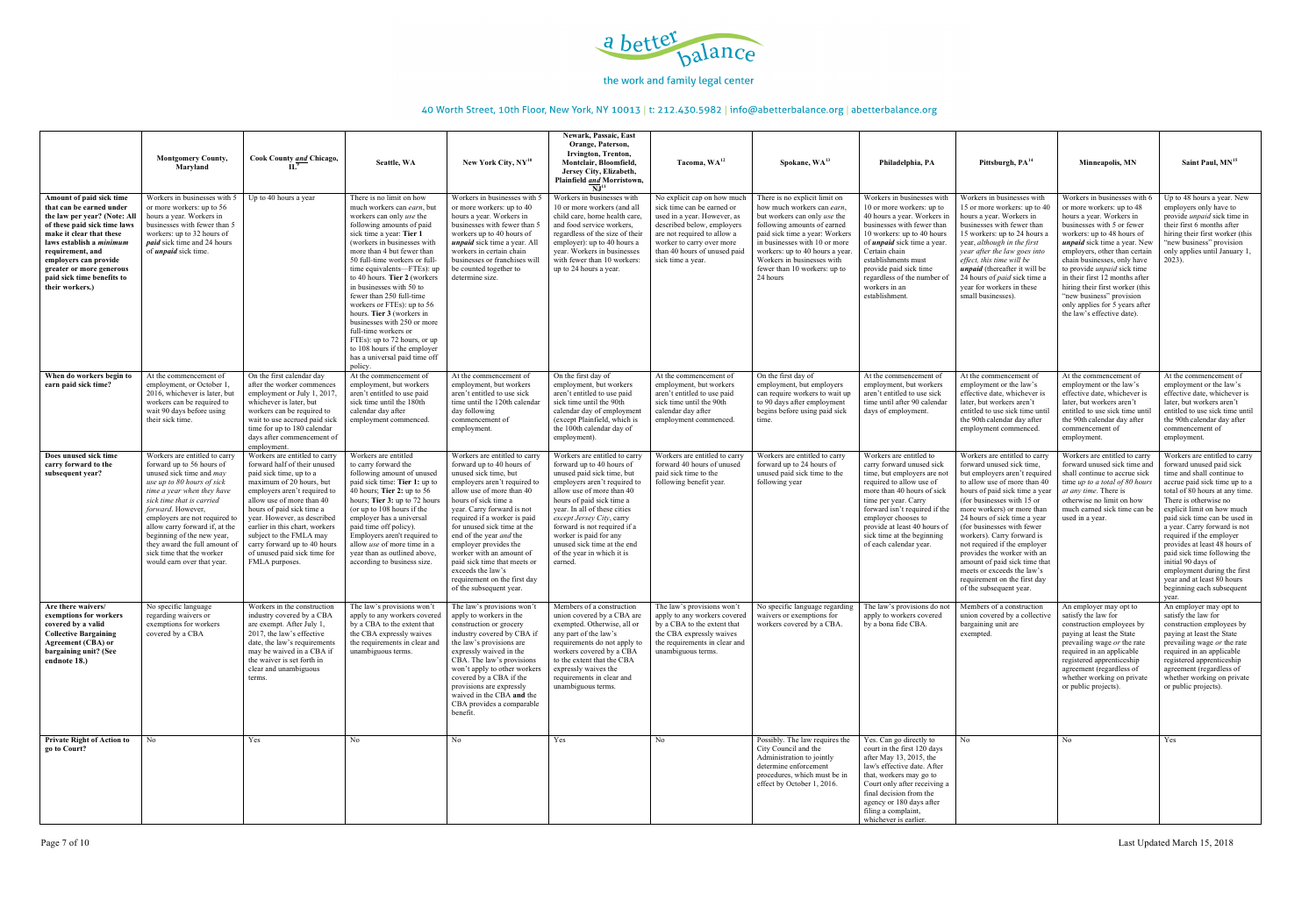

|                                                                                                                                                                                                                                                                                                        | <b>Montgomery County,</b><br>Maryland                                                                                                                                                                                                                                                                                                                                                                    | <b>Cook County and Chicago,</b>                                                                                                                                                                                                                                                                                                                                                              | Seattle, WA                                                                                                                                                                                                                                                                                                                                                                                                                                                                                                                                                                                   | New York City, $NY^{10}$                                                                                                                                                                                                                                                                                                                                                                                                                                                     | Newark, Passaic, East<br>Orange, Paterson,<br>Irvington, Trenton,<br>Montclair, Bloomfield.<br>Jersey City, Elizabeth,<br>Plainfield and Morristown,<br>N.I <sup>11</sup>                                                                                                                                                                                                         | Tacoma, WA <sup>12</sup>                                                                                                                                                                                                                | Spokane, WA <sup>13</sup>                                                                                                                                                                                                                                                                                  | Philadelphia, PA                                                                                                                                                                                                                                                                                                            | Pittsburgh, PA <sup>14</sup>                                                                                                                                                                                                                                                                                                                                                                                                                                                                                   | Minneapolis, MN                                                                                                                                                                                                                                                                                                                                                                                                                                               | Saint Paul, MN <sup>15</sup>                                                                                                                                                                                                                                                                                                                                                                                                                                                                             |
|--------------------------------------------------------------------------------------------------------------------------------------------------------------------------------------------------------------------------------------------------------------------------------------------------------|----------------------------------------------------------------------------------------------------------------------------------------------------------------------------------------------------------------------------------------------------------------------------------------------------------------------------------------------------------------------------------------------------------|----------------------------------------------------------------------------------------------------------------------------------------------------------------------------------------------------------------------------------------------------------------------------------------------------------------------------------------------------------------------------------------------|-----------------------------------------------------------------------------------------------------------------------------------------------------------------------------------------------------------------------------------------------------------------------------------------------------------------------------------------------------------------------------------------------------------------------------------------------------------------------------------------------------------------------------------------------------------------------------------------------|------------------------------------------------------------------------------------------------------------------------------------------------------------------------------------------------------------------------------------------------------------------------------------------------------------------------------------------------------------------------------------------------------------------------------------------------------------------------------|-----------------------------------------------------------------------------------------------------------------------------------------------------------------------------------------------------------------------------------------------------------------------------------------------------------------------------------------------------------------------------------|-----------------------------------------------------------------------------------------------------------------------------------------------------------------------------------------------------------------------------------------|------------------------------------------------------------------------------------------------------------------------------------------------------------------------------------------------------------------------------------------------------------------------------------------------------------|-----------------------------------------------------------------------------------------------------------------------------------------------------------------------------------------------------------------------------------------------------------------------------------------------------------------------------|----------------------------------------------------------------------------------------------------------------------------------------------------------------------------------------------------------------------------------------------------------------------------------------------------------------------------------------------------------------------------------------------------------------------------------------------------------------------------------------------------------------|---------------------------------------------------------------------------------------------------------------------------------------------------------------------------------------------------------------------------------------------------------------------------------------------------------------------------------------------------------------------------------------------------------------------------------------------------------------|----------------------------------------------------------------------------------------------------------------------------------------------------------------------------------------------------------------------------------------------------------------------------------------------------------------------------------------------------------------------------------------------------------------------------------------------------------------------------------------------------------|
| Amount of paid sick time<br>that can be earned under<br>the law per year? (Note: All<br>of these paid sick time laws<br>make it clear that these<br>laws establish a minimum<br>requirement, and<br>employers can provide<br>greater or more generous<br>paid sick time benefits to<br>their workers.) | Workers in businesses with 5<br>or more workers: up to 56<br>hours a year. Workers in<br>businesses with fewer than 5<br>workers: up to 32 hours of<br><i>paid</i> sick time and 24 hours<br>of <i>unpaid</i> sick time.                                                                                                                                                                                 | Up to 40 hours a year                                                                                                                                                                                                                                                                                                                                                                        | There is no limit on how<br>much workers can earn, but<br>workers can only use the<br>following amounts of paid<br>sick time a year: Tier 1<br>(workers in businesses with<br>more than 4 but fewer than<br>50 full-time workers or full-<br>time equivalents—FTEs): up<br>to 40 hours. Tier 2 (workers<br>in businesses with 50 to<br>fewer than 250 full-time<br>workers or FTEs): up to 56<br>hours. Tier 3 (workers in<br>businesses with 250 or more<br>full-time workers or<br>FTEs): up to 72 hours, or up<br>to 108 hours if the employer<br>has a universal paid time off<br>policy. | Workers in businesses with 5<br>or more workers: up to 40<br>hours a year. Workers in<br>businesses with fewer than 5<br>workers up to 40 hours of<br><i>unpaid</i> sick time a year. All<br>workers in certain chain<br>businesses or franchises will<br>be counted together to<br>determine size.                                                                                                                                                                          | Workers in businesses with<br>10 or more workers (and all<br>child care, home health care,<br>and food service workers.<br>regardless of the size of their<br>employer): up to 40 hours a<br>year. Workers in businesses<br>with fewer than 10 workers:<br>up to 24 hours a year.                                                                                                 | No explicit cap on how much<br>sick time can be earned or<br>used in a year. However, as<br>described below, employers<br>are not required to allow a<br>worker to carry over more<br>than 40 hours of unused paid<br>sick time a year. | There is no explicit limit on<br>how much workers can earn,<br>but workers can only use the<br>following amounts of earned<br>paid sick time a year: Workers<br>in businesses with 10 or more<br>workers: up to 40 hours a year.<br>Workers in businesses with<br>fewer than 10 workers: up to<br>24 hours | Workers in businesses with<br>10 or more workers: up to<br>40 hours a year. Workers in<br>businesses with fewer than<br>10 workers: up to 40 hours<br>of <i>unpaid</i> sick time a year.<br>Certain chain<br>establishments must<br>provide paid sick time<br>regardless of the number of<br>workers in an<br>establishment | Workers in businesses with<br>15 or more workers: up to 40<br>hours a year. Workers in<br>businesses with fewer than<br>15 workers: up to 24 hours a<br>year, although in the first<br>year after the law goes into<br>effect, this time will be<br><i>unpaid</i> (thereafter it will be<br>24 hours of <i>paid</i> sick time a<br>year for workers in these<br>small businesses).                                                                                                                             | Workers in businesses with<br>or more workers: up to 48<br>hours a year. Workers in<br>businesses with 5 or fewer<br>workers: up to 48 hours of<br><i>unpaid</i> sick time a year. New<br>employers, other than certain<br>chain businesses, only have<br>to provide <i>unpaid</i> sick time<br>in their first 12 months after<br>hiring their first worker (this<br>"new business" provision<br>only applies for 5 years after<br>the law's effective date). | Up to 48 hours a year. New<br>employers only have to<br>provide <i>unpaid</i> sick time in<br>their first 6 months after<br>hiring their first worker (this<br>"new business" provision<br>only applies until January 1,<br>$2023$ ).                                                                                                                                                                                                                                                                    |
| When do workers begin to<br>earn paid sick time?                                                                                                                                                                                                                                                       | At the commencement of<br>employment, or October 1.<br>2016, whichever is later, but<br>workers can be required to<br>wait 90 days before using<br>their sick time.                                                                                                                                                                                                                                      | On the first calendar day<br>after the worker commences<br>employment or July 1, 2017<br>whichever is later, but<br>workers can be required to<br>wait to use accrued paid sick<br>time for up to 180 calendar<br>days after commencement of<br>employment.                                                                                                                                  | At the commencement of<br>employment, but workers<br>aren't entitled to use paid<br>sick time until the 180th<br>calendar day after<br>employment commenced.                                                                                                                                                                                                                                                                                                                                                                                                                                  | At the commencement of<br>employment, but workers<br>aren't entitled to use sick<br>time until the 120th calendar<br>day following<br>commencement of<br>employment.                                                                                                                                                                                                                                                                                                         | On the first day of<br>employment, but workers<br>aren't entitled to use paid<br>sick time until the 90th<br>calendar day of employment<br>(except Plainfield, which is<br>the 100th calendar day of<br>employment).                                                                                                                                                              | At the commencement of<br>employment, but workers<br>aren't entitled to use paid<br>sick time until the 90th<br>calendar day after<br>employment commenced.                                                                             | On the first day of<br>employment, but employers<br>can require workers to wait up<br>to 90 days after employment<br>begins before using paid sick<br>time.                                                                                                                                                | At the commencement of<br>employment, but workers<br>aren't entitled to use sick<br>time until after 90 calendar<br>days of employment                                                                                                                                                                                      | At the commencement of<br>employment or the law's<br>effective date, whichever is<br>later, but workers aren't<br>entitled to use sick time until<br>the 90th calendar day after<br>employment commenced.                                                                                                                                                                                                                                                                                                      | At the commencement of<br>employment or the law's<br>effective date, whichever is<br>later, but workers aren't<br>entitled to use sick time unti<br>the 90th calendar day after<br>commencement of<br>employment.                                                                                                                                                                                                                                             | At the commencement of<br>employment or the law's<br>effective date, whichever is<br>later, but workers aren't<br>entitled to use sick time until<br>the 90th calendar day after<br>commencement of<br>employment.                                                                                                                                                                                                                                                                                       |
| Does unused sick time<br>carry forward to the<br>subsequent year?                                                                                                                                                                                                                                      | Workers are entitled to carry<br>forward up to 56 hours of<br>unused sick time and <i>may</i><br>use up to 80 hours of sick<br>time a year when they have<br>sick time that is carried<br>forward. However,<br>employers are not required to<br>allow carry forward if, at the<br>beginning of the new year,<br>they award the full amount of<br>sick time that the worker<br>would earn over that year. | Workers are entitled to carry<br>forward half of their unused<br>paid sick time, up to a<br>maximum of 20 hours, but<br>employers aren't required to<br>allow use of more than 40<br>hours of paid sick time a<br>year. However, as described<br>earlier in this chart, workers<br>subject to the FMLA may<br>carry forward up to 40 hours<br>of unused paid sick time for<br>FMLA purposes. | Workers are entitled<br>to carry forward the<br>following amount of unused<br>paid sick time: Tier 1: up to<br>40 hours; Tier 2: up to $56$<br>hours; Tier 3: up to 72 hours<br>(or up to $108$ hours if the<br>employer has a universal<br>paid time off policy).<br>Employers aren't required to<br>allow <i>use</i> of more time in a<br>year than as outlined above,<br>according to business size.                                                                                                                                                                                       | Workers are entitled to carry<br>forward up to 40 hours of<br>unused sick time, but<br>employers aren't required to<br>allow use of more than 40<br>hours of sick time a<br>year. Carry forward is not<br>required if a worker is paid<br>for unused sick time at the<br>end of the year <i>and</i> the<br>employer provides the<br>worker with an amount of<br>paid sick time that meets or<br>exceeds the law's<br>requirement on the first day<br>of the subsequent year. | Workers are entitled to carry<br>forward up to 40 hours of<br>unused paid sick time, but<br>employers aren't required to<br>allow use of more than 40<br>hours of paid sick time a<br>year. In all of these cities<br>except Jersey City, carry<br>forward is not required if a<br>worker is paid for any<br>unused sick time at the end<br>of the year in which it is<br>earned. | Workers are entitled to carry<br>forward 40 hours of unused<br>paid sick time to the<br>following benefit year.                                                                                                                         | Workers are entitled to carry<br>forward up to 24 hours of<br>unused paid sick time to the<br>following year                                                                                                                                                                                               | Workers are entitled to<br>carry forward unused sick<br>time, but employers are not<br>required to allow use of<br>more than 40 hours of sick<br>time per year. Carry<br>forward isn't required if the<br>employer chooses to<br>provide at least 40 hours of<br>sick time at the beginning<br>of each calendar year.       | Workers are entitled to carry<br>forward unused sick time,<br>but employers aren't required<br>to allow use of more than 40<br>hours of paid sick time a yea<br>(for businesses with 15 or)<br>more workers) or more than<br>24 hours of sick time a year<br>(for businesses with fewer<br>workers). Carry forward is<br>not required if the employer<br>provides the worker with an<br>amount of paid sick time that<br>meets or exceeds the law's<br>requirement on the first day<br>of the subsequent year. | Workers are entitled to carry<br>forward unused sick time and<br>shall continue to accrue sick<br>time up to a total of 80 hours<br><i>at any time.</i> There is<br>otherwise no limit on how<br>much earned sick time can b<br>used in a year.                                                                                                                                                                                                               | Workers are entitled to carry<br>forward unused paid sick<br>time and shall continue to<br>accrue paid sick time up to a<br>total of 80 hours at any time.<br>There is otherwise no<br>explicit limit on how much<br>paid sick time can be used in<br>a year. Carry forward is not<br>required if the employer<br>provides at least 48 hours of<br>paid sick time following the<br>initial 90 days of<br>employment during the first<br>year and at least 80 hours<br>beginning each subsequent<br>vear. |
| Are there waivers/<br>exemptions for workers<br>covered by a valid<br><b>Collective Bargaining</b><br><b>Agreement (CBA) or</b><br>bargaining unit? (See<br>endnote 18.)                                                                                                                               | No specific language<br>regarding waivers or<br>exemptions for workers<br>covered by a CBA                                                                                                                                                                                                                                                                                                               | Workers in the construction<br>industry covered by a CBA<br>are exempt. After July 1,<br>2017, the law's effective<br>date, the law's requirements<br>may be waived in a CBA if<br>the waiver is set forth in<br>clear and unambiguous<br>terms.                                                                                                                                             | The law's provisions won't<br>apply to any workers covered<br>by a CBA to the extent that<br>the CBA expressly waives<br>the requirements in clear and<br>unambiguous terms.                                                                                                                                                                                                                                                                                                                                                                                                                  | The law's provisions won't<br>apply to workers in the<br>construction or grocery<br>industry covered by CBA if<br>the law's provisions are<br>expressly waived in the<br>CBA. The law's provisions<br>won't apply to other workers<br>covered by a CBA if the<br>provisions are expressly<br>waived in the CBA and the<br>CBA provides a comparable<br>benefit.                                                                                                              | Members of a construction<br>union covered by a CBA are<br>exempted. Otherwise, all or<br>any part of the law's<br>requirements do not apply to<br>workers covered by a CBA<br>to the extent that the CBA<br>expressly waives the<br>requirements in clear and<br>unambiguous terms.                                                                                              | The law's provisions won't<br>apply to any workers covered<br>by a CBA to the extent that<br>the CBA expressly waives<br>the requirements in clear and<br>unambiguous terms.                                                            | No specific language regarding<br>waivers or exemptions for<br>workers covered by a CBA                                                                                                                                                                                                                    | The law's provisions do not<br>apply to workers covered<br>by a bona fide CBA.                                                                                                                                                                                                                                              | Members of a construction<br>union covered by a collective<br>bargaining unit are<br>exempted.                                                                                                                                                                                                                                                                                                                                                                                                                 | An employer may opt to<br>satisfy the law for<br>construction employees by<br>paying at least the State<br>prevailing wage or the rate<br>required in an applicable<br>registered apprenticeship<br>agreement (regardless of<br>whether working on private<br>or public projects).                                                                                                                                                                            | An employer may opt to<br>satisfy the law for<br>construction employees by<br>paying at least the State<br>prevailing wage or the rate<br>required in an applicable<br>registered apprenticeship<br>agreement (regardless of<br>whether working on private<br>or public projects).                                                                                                                                                                                                                       |
| <b>Private Right of Action to</b><br>go to Court?                                                                                                                                                                                                                                                      | No.                                                                                                                                                                                                                                                                                                                                                                                                      | Yes                                                                                                                                                                                                                                                                                                                                                                                          | No                                                                                                                                                                                                                                                                                                                                                                                                                                                                                                                                                                                            | No                                                                                                                                                                                                                                                                                                                                                                                                                                                                           | Yes                                                                                                                                                                                                                                                                                                                                                                               | No                                                                                                                                                                                                                                      | Possibly. The law requires the<br>City Council and the<br>Administration to jointly<br>determine enforcement<br>procedures, which must be in<br>effect by October 1, 2016.                                                                                                                                 | Yes. Can go directly to<br>court in the first 120 days<br>after May 13, 2015, the<br>law's effective date. After<br>that, workers may go to<br>Court only after receiving a<br>final decision from the<br>agency or 180 days after<br>filing a complaint,<br>whichever is earlier.                                          | No.                                                                                                                                                                                                                                                                                                                                                                                                                                                                                                            | No                                                                                                                                                                                                                                                                                                                                                                                                                                                            | Yes                                                                                                                                                                                                                                                                                                                                                                                                                                                                                                      |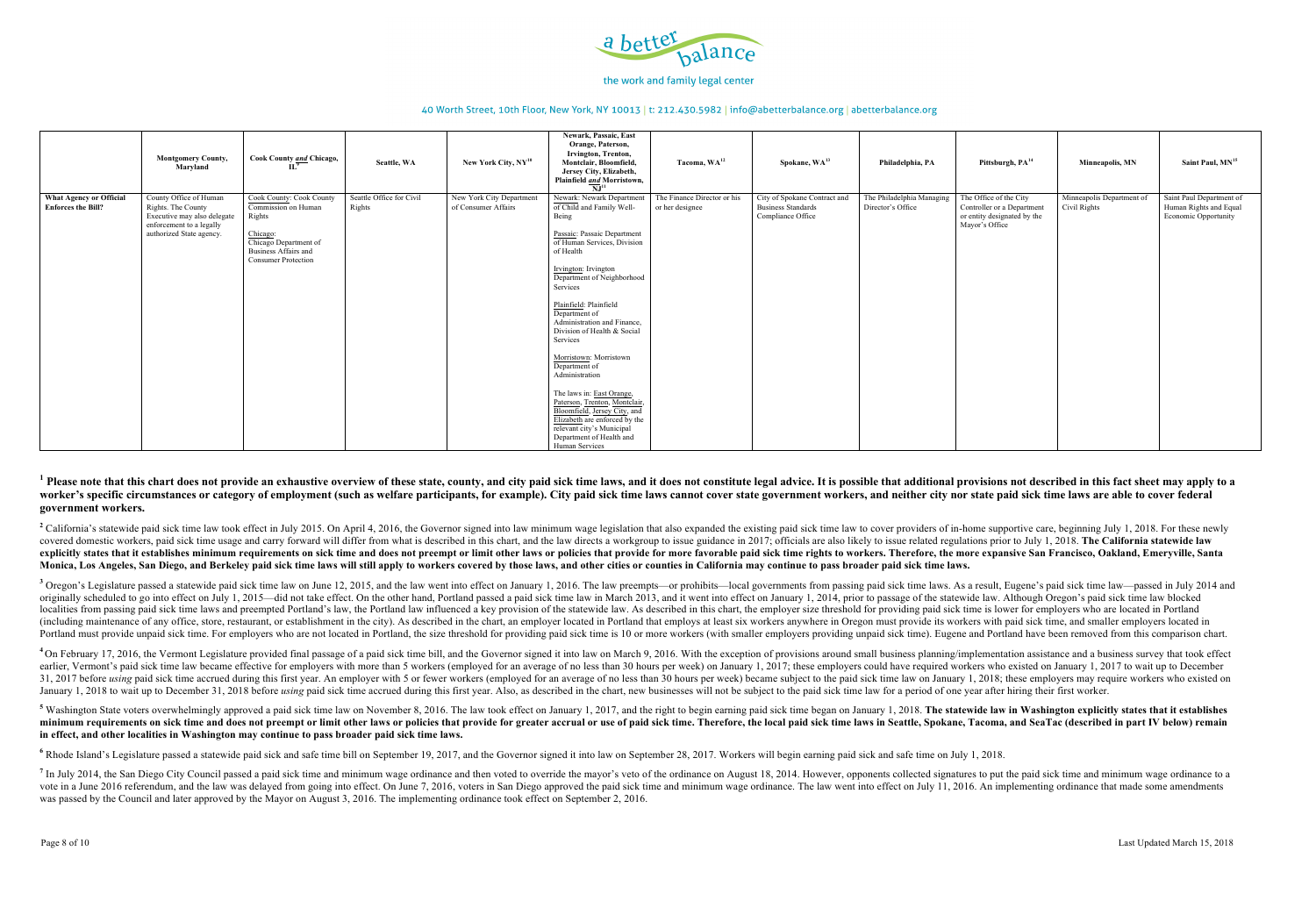

### 40 Worth Street, 10th Floor, New York, NY 10013 | t: 212.430.5982 | info@abetterbalance.org | abetterbalance.org

### $^{-1}$  Please note that this chart does not provide an exhaustive overview of these state, county, and city paid sick time laws, and it does not constitute legal advice. It is possible that additional provisions not descri worker's specific circumstances or category of employment (such as welfare participants, for example). City paid sick time laws cannot cover state government workers, and neither city nor state paid sick time laws are able **government workers.**

<sup>2</sup> California's statewide paid sick time law took effect in July 2015. On April 4, 2016, the Governor signed into law minimum wage legislation that also expanded the existing paid sick time law to cover providers of in-ho covered domestic workers, paid sick time usage and carry forward will differ from what is described in this chart, and the law directs a workgroup to issue guidance in 2017; officials are also likely to issue related regul explicitly states that it establishes minimum requirements on sick time and does not preempt or limit other laws or policies that provide for more favorable paid sick time rights to workers. Therefore, the more expansive S **Monica, Los Angeles, San Diego, and Berkeley paid sick time laws will still apply to workers covered by those laws, and other cities or counties in California may continue to pass broader paid sick time laws.**

<sup>3</sup> Oregon's Legislature passed a statewide paid sick time law on June 12, 2015, and the law went into effect on January 1, 2016. The law preempts—or prohibits—local governments from passing paid sick time laws. As a resul originally scheduled to go into effect on July 1, 2015—did not take effect. On the other hand, Portland passed a paid sick time law in March 2013, and it went into effect on January 1, 2014, prior to passage of the statewi localities from passing paid sick time laws and preempted Portland's law, the Portland law influenced a key provision of the statewide law. As described in this chart, the employer size threshold for providing paid sick ti (including maintenance of any office, store, restaurant, or establishment in the city). As described in the chart, an employer located in Portland that employs at least six workers anywhere in Oregon must provide its worke Portland must provide unpaid sick time. For employers who are not located in Portland, the size threshold for providing paid sick time is 10 or more workers (with smaller employers providing unpaid sick time). Eugene and P

<sup>4</sup> On February 17, 2016, the Vermont Legislature provided final passage of a paid sick time bill, and the Governor signed it into law on March 9, 2016. With the exception of provisions around small business planning/imple earlier, Vermont's paid sick time law became effective for employers with more than 5 workers (employed for an average of no less than 30 hours per week) on January 1, 2017; these employers could have required workers who 31, 2017 before using paid sick time accrued during this first year. An employer with 5 or fewer workers (employed for an average of no less than 30 hours per week) became subject to the paid sick time law on January 1, 20 January 1, 2018 to wait up to December 31, 2018 before using paid sick time accrued during this first year. Also, as described in the chart, new businesses will not be subject to the paid sick time law for a period of one

<sup>5</sup> Washington State voters overwhelmingly approved a paid sick time law on November 8, 2016. The law took effect on January 1, 2017, and the right to begin earning paid sick time began on January 1, 2018. The statewide la minimum requirements on sick time and does not preempt or limit other laws or policies that provide for greater accrual or use of paid sick time. Therefore, the local paid sick time laws in Seattle, Spokane, Tacoma, and Se **in effect, and other localities in Washington may continue to pass broader paid sick time laws.**

<sup>6</sup> Rhode Island's Legislature passed a statewide paid sick and safe time bill on September 19, 2017, and the Governor signed it into law on September 28, 2017. Workers will begin earning paid sick and safe time on July 1,

<sup>7</sup> In July 2014, the San Diego City Council passed a paid sick time and minimum wage ordinance and then voted to override the mayor's veto of the ordinance on August 18, 2014. However, opponents collected signatures to pu vote in a June 2016 referendum, and the law was delayed from going into effect. On June 7, 2016, voters in San Diego approved the paid sick time and minimum wage ordinance. The law went into effect on July 11, 2016. An imp was passed by the Council and later approved by the Mayor on August 3, 2016. The implementing ordinance took effect on September 2, 2016.

|                                                      | <b>Montgomery County,</b><br>Maryland                                                                                               | Cook County and Chicago,                                                                                                                                    | Seattle, WA                        | New York City, $NY^{10}$                        | Newark, Passaic, East<br>Orange, Paterson,<br>Irvington, Trenton,<br>Montclair, Bloomfield,<br>Jersey City, Elizabeth,<br>Plainfield and Morristown,<br>$\overline{\bf NJ}^{11}$                                                                                                                                                                                                                                                                                                                                                                                                                         | Tacoma, WA <sup>12</sup>                       | Spokane, WA <sup>13</sup>                                                      | Philadelphia, PA                               | Pittsburgh, PA <sup>14</sup>                                                                          | Minneapolis, MN                           | Saint Paul, MN <sup>15</sup>                                               |
|------------------------------------------------------|-------------------------------------------------------------------------------------------------------------------------------------|-------------------------------------------------------------------------------------------------------------------------------------------------------------|------------------------------------|-------------------------------------------------|----------------------------------------------------------------------------------------------------------------------------------------------------------------------------------------------------------------------------------------------------------------------------------------------------------------------------------------------------------------------------------------------------------------------------------------------------------------------------------------------------------------------------------------------------------------------------------------------------------|------------------------------------------------|--------------------------------------------------------------------------------|------------------------------------------------|-------------------------------------------------------------------------------------------------------|-------------------------------------------|----------------------------------------------------------------------------|
| What Agency or Official<br><b>Enforces the Bill?</b> | County Office of Human<br>Rights. The County<br>Executive may also delegate<br>enforcement to a legally<br>authorized State agency. | <b>Cook County: Cook County</b><br>Commission on Human<br>Rights<br>Chicago:<br>Chicago Department of<br>Business Affairs and<br><b>Consumer Protection</b> | Seattle Office for Civil<br>Rights | New York City Department<br>of Consumer Affairs | Newark: Newark Department<br>of Child and Family Well-<br>Being<br>Passaic: Passaic Department<br>of Human Services, Division<br>of Health<br>Irvington: Irvington<br>Department of Neighborhood<br>Services<br>Plainfield: Plainfield<br>Department of<br>Administration and Finance,<br>Division of Health & Social<br>Services<br>Morristown: Morristown<br>Department of<br>Administration<br>The laws in: East Orange,<br>Paterson, Trenton, Montclair,<br>Bloomfield, Jersey City, and<br>Elizabeth are enforced by the<br>relevant city's Municipal<br>Department of Health and<br>Human Services | The Finance Director or his<br>or her designee | City of Spokane Contract and<br><b>Business Standards</b><br>Compliance Office | The Philadelphia Managing<br>Director's Office | The Office of the City<br>Controller or a Department<br>or entity designated by the<br>Mayor's Office | Minneapolis Department of<br>Civil Rights | Saint Paul Department of<br>Human Rights and Equal<br>Economic Opportunity |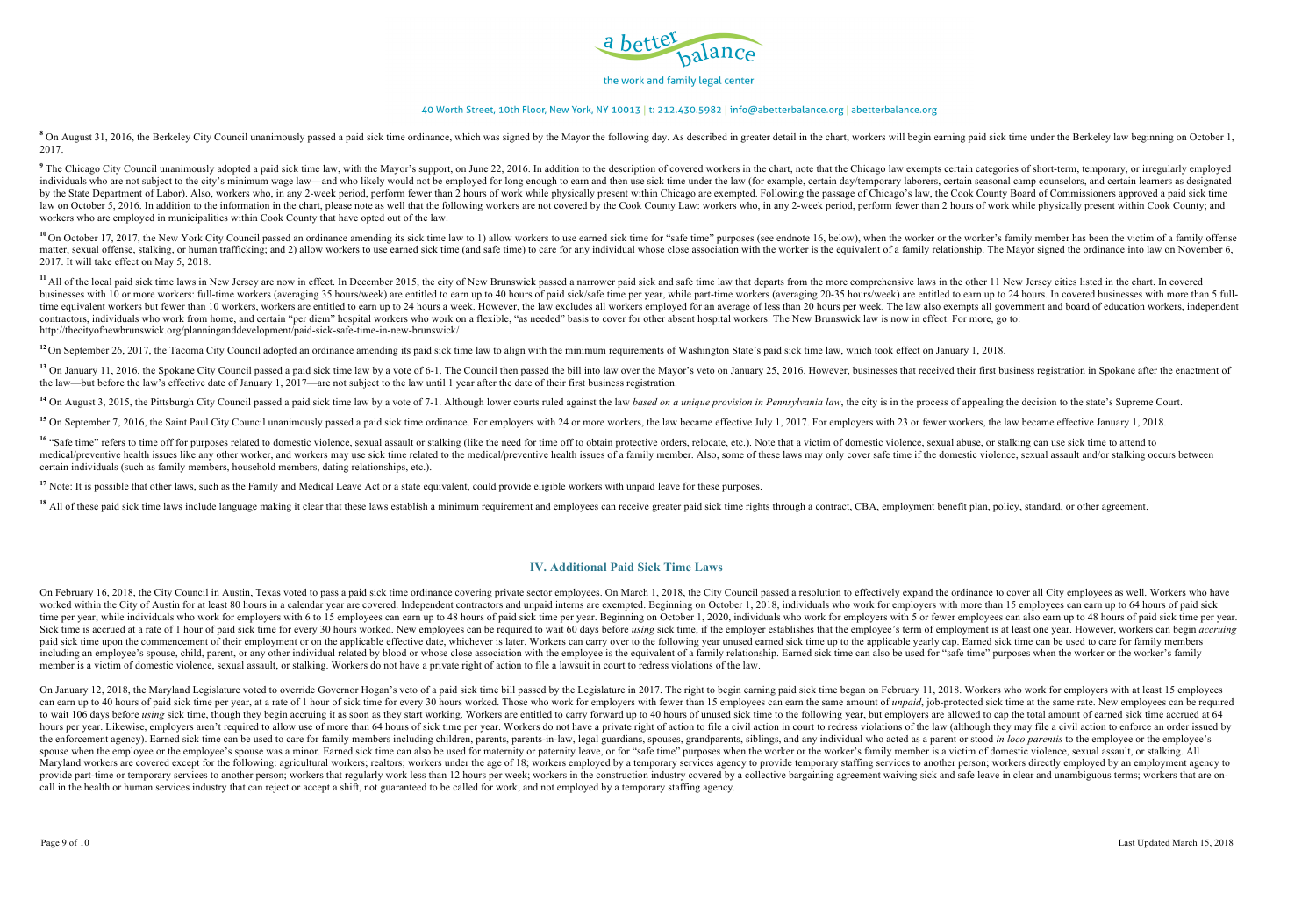

### 40 Worth Street, 10th Floor, New York, NY 10013 | t: 212.430.5982 | info@abetterbalance.org | abetterbalance.org

<sup>8</sup> On August 31, 2016, the Berkeley City Council unanimously passed a paid sick time ordinance, which was signed by the Mayor the following day. As described in greater detail in the chart, workers will begin earning paid 2017.

<sup>9</sup> The Chicago City Council unanimously adopted a paid sick time law, with the Mayor's support, on June 22, 2016. In addition to the description of covered workers in the chart, note that the Chicago law exempts certain c individuals who are not subject to the city's minimum wage law—and who likely would not be employed for long enough to earn and then use sick time under the law (for example, certain day/temporary laborers, certain seasona by the State Department of Labor). Also, workers who, in any 2-week period, perform fewer than 2 hours of work while physically present within Chicago are exempted. Following the passage of Chicago's law, the Cook County B law on October 5, 2016. In addition to the information in the chart, please note as well that the following workers are not covered by the Cook County Law: workers who, in any 2-week period, perform fewer than 2 hours of w workers who are employed in municipalities within Cook County that have opted out of the law.

<sup>10</sup> On October 17. 2017, the New York City Council passed an ordinance amending its sick time law to 1) allow workers to use earned sick time for "safe time" purposes (see endnote 16, below), when the worker or the worker matter, sexual offense, stalking, or human trafficking; and 2) allow workers to use earned sick time (and safe time) to care for any individual whose close association with the worker is the equivalent of a family relation 2017. It will take effect on May 5, 2018.

<sup>11</sup> All of the local paid sick time laws in New Jersey are now in effect. In December 2015, the city of New Brunswick passed a narrower paid sick and safe time law that departs from the more comprehensive laws in the othe businesses with 10 or more workers: full-time workers (averaging 35 hours/week) are entitled to earn up to 40 hours of paid sick/safe time per year, while part-time workers (averaging 20-35 hours/week) are entitled to earn time equivalent workers but fewer than 10 workers, workers are entitled to earn up to 24 hours a week. However, the law excludes all workers employed for an average of less than 20 hours per week. The law also exempts all contractors, individuals who work from home, and certain "per diem" hospital workers who work on a flexible, "as needed" basis to cover for other absent hospital workers. The New Brunswick law is now in effect. For more, g http://thecityofnewbrunswick.org/planninganddevelopment/paid-sick-safe-time-in-new-brunswick/

<sup>12</sup> On September 26, 2017, the Tacoma City Council adopted an ordinance amending its paid sick time law to align with the minimum requirements of Washington State's paid sick time law, which took effect on January 1, 2018

<sup>13</sup> On January 11, 2016, the Spokane City Council passed a paid sick time law by a vote of 6-1. The Council then passed the bill into law over the Mayor's veto on January 25, 2016. However, businesses that received their the law—but before the law's effective date of January 1, 2017—are not subject to the law until 1 year after the date of their first business registration.

<sup>14</sup> On August 3, 2015, the Pittsburgh City Council passed a paid sick time law by a vote of 7-1. Although lower courts ruled against the law based on a unique provision in Pennsylvania law, the city is in the process of a

<sup>15</sup> On September 7. 2016, the Saint Paul City Council unanimously passed a paid sick time ordinance. For employers with 24 or more workers, the law became effective July 1, 2017. For employers with 23 or fewer workers, th

<sup>16</sup> "Safe time" refers to time off for purposes related to domestic violence, sexual assault or stalking (like the need for time off to obtain protective orders, relocate, etc.). Note that a victim of domestic violence, s medical/preventive health issues like any other worker, and workers may use sick time related to the medical/preventive health issues of a family member. Also, some of these laws may only cover safe time if the domestic vi certain individuals (such as family members, household members, dating relationships, etc.).

<sup>17</sup> Note: It is possible that other laws, such as the Family and Medical Leave Act or a state equivalent, could provide eligible workers with unpaid leave for these purposes.

<sup>18</sup> All of these paid sick time laws include language making it clear that these laws establish a minimum requirement and employees can receive greater paid sick time rights through a contract, CBA, employment benefit pla

On February 16, 2018, the City Council in Austin, Texas voted to pass a paid sick time ordinance covering private sector employees. On March 1, 2018, the City Council passed a resolution to effectively expand the ordinance worked within the City of Austin for at least 80 hours in a calendar year are covered. Independent contractors and unpaid interns are exempted. Beginning on October 1, 2018, individuals who work for employers with more tha time per year, while individuals who work for employers with 6 to 15 employees can earn up to 48 hours of paid sick time per year. Beginning on October 1, 2020, individuals who work for employers with 5 or fewer employees Sick time is accrued at a rate of 1 hour of paid sick time for every 30 hours worked. New employees can be required to wait 60 days before using sick time, if the employer establishes that the employee's term of employment paid sick time upon the commencement of their employment or on the applicable effective date, whichever is later. Workers can carry over to the following year unused earned sick time up to the applicable yearly cap. Earned including an employee's spouse, child, parent, or any other individual related by blood or whose close association with the employee is the equivalent of a family relationship. Earned sick time can also be used for "safe t member is a victim of domestic violence, sexual assault, or stalking. Workers do not have a private right of action to file a lawsuit in court to redress violations of the law.

On January 12, 2018, the Maryland Legislature voted to override Governor Hogan's veto of a paid sick time bill passed by the Legislature in 2017. The right to begin earning paid sick time began on February 11, 2018. Worker can earn up to 40 hours of paid sick time per year, at a rate of 1 hour of sick time for every 30 hours worked. Those who work for employers with fewer than 15 employees can earn the same amount of *unpaid*, job-protected to wait 106 days before using sick time, though they begin accruing it as soon as they start working. Workers are entitled to carry forward up to 40 hours of unused sick time to the following year, but employers are allowe hours per year. Likewise, employers aren't required to allow use of more than 64 hours of sick time per year. Workers do not have a private right of action to file a civil action in court to redress yiolations of the law ( the enforcement agency). Earned sick time can be used to care for family members including children, parents, parents, parents, parents, and guardians, spouses, grandparents, siblings, and any individual who acted as a par spouse when the employee or the employee's spouse was a minor. Earned sick time can also be used for maternity or paternity or paternity leave, or for "safe time" purposes when the worker or the worker's family member is a Maryland workers are covered except for the following; agricultural workers; realtors; workers under the age of 18; workers employed by a temporary services agency to provide temporary staffing services to another person; provide part-time or temporary services to another person; workers that regularly work less than 12 hours per week; workers in the construction industry covered by a collective bargaining agreement waiving sick and safe le call in the health or human services industry that can reject or accept a shift, not guaranteed to be called for work, and not employed by a temporary staffing agency.

### **IV. Additional Paid Sick Time Laws**